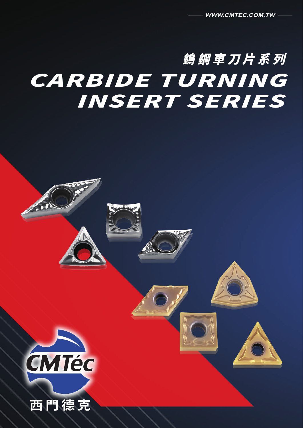# 鎢鋼車刀片系列 CARBIDE TURNING INSERT SERIES



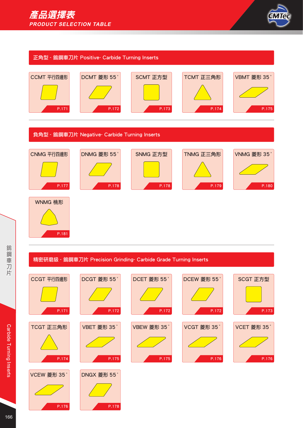



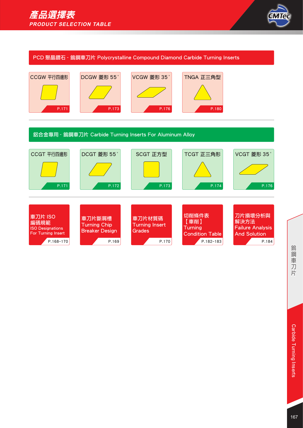

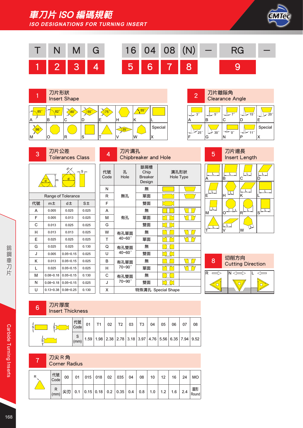車刀片 ISO 編碼規範

**ISO DESIGNATIONS FOR TURNING INSERT**









4 刀片溝孔





 $\frac{d}{d}$  |m  $\frac{d}{d}$ <sup>S</sup> <sup>m</sup>

|    |               | Range of Tolerance |           |
|----|---------------|--------------------|-----------|
| 代號 | m±            | d±                 | $S_{\pm}$ |
| А  | 0.005         | 0.025              | 0.025     |
| F  | 0.005         | 0.013              | 0.025     |
| С  | 0.013         | 0.025              | 0.025     |
| н  | 0.013         | 0.013              | 0.025     |
| Е  | 0.025         | 0.025              | 0.025     |
| G  | 0.025         | 0.025              | 0.130     |
| J  | 0.005         | $0.05 - 0.15$      | 0.025     |
| κ  | 0.013         | $0.05 - 0.15$      | 0.025     |
| L  | 0.025         | $0.05 - 0.15$      | 0.025     |
| м  | $0.08 - 0.18$ | $0.05 - 0.15$      | 0.130     |
| Ν  | $0.08 - 0.18$ | $0.05 - 0.15$      | 0.025     |
| U  | $0.13 - 0.38$ | $0.08 - 0.25$      | 0 130     |

| ↔          |             | <b>Chipbreaker and Hole</b>             |                    |      |
|------------|-------------|-----------------------------------------|--------------------|------|
| 代號<br>Code | 孔<br>Hole   | 斷屑槽<br>Chip<br><b>Breaker</b><br>Design | Hole Type          | 溝孔形狀 |
| Ν          |             | 無                                       |                    |      |
| R          | 無孔          | 單面                                      |                    |      |
| F          |             | 雙面                                      |                    |      |
| A          |             | 無                                       |                    |      |
| М          | 有孔          | 單面                                      |                    |      |
| G          |             | 雙面                                      |                    |      |
| W          | 有孔單面        | 無                                       |                    |      |
| т          | $40 - 60$ ° | 單面                                      |                    |      |
| Q          | 有孔雙面        | 無                                       |                    |      |
| U          | 40~60°      | 雙面                                      |                    |      |
| в          | 有孔單面        | 無                                       |                    |      |
| н          | 70~90°      | 單面                                      |                    |      |
| C          | 有孔雙面        | 無                                       |                    |      |
| J          | 70~90°      | 雙面                                      |                    |      |
| х          |             |                                         | 特殊溝孔 Special Shape |      |





#### 6 刀片厚度 Insert Thickness

| $\mathbf{\Gamma}$ | 代號<br>Code | 01 | T <sub>1</sub> | 02 | T2 | 03 | T <sub>3</sub> | 04                                                                                                  | 05 | 06 | 07 | 08 |
|-------------------|------------|----|----------------|----|----|----|----------------|-----------------------------------------------------------------------------------------------------|----|----|----|----|
|                   | (mm)       |    |                |    |    |    |                | $\ $ 1.59 $ $ 1.98 $ $ 2.38 $ $ 2.78 $ $ 3.18 $ $ 3.97 $ $ 4.76 $ $ 5.56 $ $ 6.35 $ $ 7.94 $ $ 9.52 |    |    |    |    |

#### 7 刀尖 R 角 Corner Radius

| R | 代號<br>Code | 00 | 01 | $015$ 018                                      | 02 | 035 | 04 | 08 | 10 | 12  | 16        | 24 | <b>MO</b>     |
|---|------------|----|----|------------------------------------------------|----|-----|----|----|----|-----|-----------|----|---------------|
|   | R<br>(mm)  |    |    | 尖刃  0.1  0.15 0.18  0.2  0.35  0.4   0.8   1.0 |    |     |    |    |    | 1.2 | $1.6$ 2.4 |    | 圓形<br>  Round |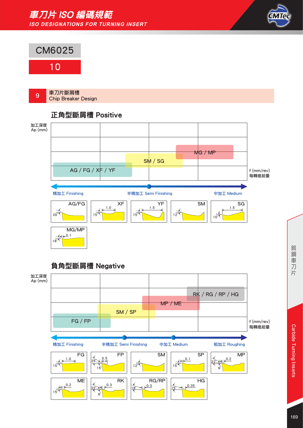#### 車刀片 ISO 編碼規範 **ISO DESIGNATIONS FOR TURNING INSERT**







鎢鋼車刀 芹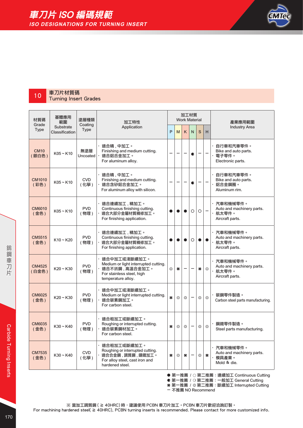

## 10 車刀片材質碼

Turning Insert Grades

| 材質碼                    | 基體應用<br>範圍                  | 塗層種類                   | 加工特性                                                                                                                      |    |    | 加工材質<br><b>Work Material</b> |         |           |                          | 產業應用範圍                                                             |
|------------------------|-----------------------------|------------------------|---------------------------------------------------------------------------------------------------------------------------|----|----|------------------------------|---------|-----------|--------------------------|--------------------------------------------------------------------|
| Grade<br><b>Type</b>   | Substrate<br>Classification | Coating<br><b>Type</b> | Application                                                                                                               | P  | M  | K                            | N       | S         | н                        | <b>Industry Area</b>                                               |
| <b>CM10</b><br>(銀白色)   | $K05 \sim K10$              | 無塗層<br>Uncoated        | 適合精,中加工。<br>Finishing and medium cutting.<br>適合鋁合金加工。<br>For aluminum alloy.                                              |    |    |                              | C       |           |                          | 自行車和汽車零件。<br>Bike and auto parts.<br>電子零件。<br>Electronic parts.    |
| <b>CM1010</b><br>(彩色)  | $K05 \sim K10$              | <b>CVD</b><br>(化學)     | 適合精 , 中加工。<br>Finishing and medium cutting.<br>適合含矽鋁合金加工。<br>For aluminum alloy with silicon.                             |    |    |                              | c       |           |                          | 自行車和汽車零件。<br>Bike and auto parts.<br>鋁合金鋼圈。<br>Aluminum rim.       |
| <b>CM6010</b><br>(金色)  | $K05 \sim K10$              | <b>PVD</b><br>(物理)     | 適合連續加工 , 精加工。<br>Continuous finishing cutting.<br>適合大部分金屬材質精修加工。<br>For finishing application.                            |    |    |                              | $\circ$ | $\circ$   | $\overline{\phantom{0}}$ | ・汽車和機械零件。<br>Auto and machinery parts.<br>航太零件。<br>Aircraft parts. |
| <b>CM5515</b><br>(金色)  | $K10 - K20$                 | <b>PVD</b><br>(物理)     | 適合連續加工﹐精加工。<br>Continuous finishing cutting.<br>適合大部分金屬材質精修加工。<br>For finishing application.                              |    |    |                              | $\circ$ | $\bullet$ | $\bullet$                | ・汽車和機械零件。<br>Auto and machinery parts.<br>航太零件。<br>Aircraft parts. |
| <b>CM4525</b><br>(白金色) | $K20 \sim K30$              | <b>PVD</b><br>(物理)     | 適合中加工或淺斷續加工。<br>Medium or light interrupted cutting.<br>適合不銹鋼,高溫合金加工。<br>For stainless steel, high<br>temperature alloy.  | €₿ | ×  |                              |         | #         | €₿                       | 汽車和機械零件。<br>Auto and machinery parts.<br>航太零件。<br>Aircraft parts.  |
| <b>CM6025</b><br>(金色)  | $K20 \sim K30$              | <b>PVD</b><br>(物理)     | 適合中加工或淺斷續加工。<br>Medium or light interrupted cutting.<br>適合碳素鋼加工。<br>For carbon steel.                                     | ₩. | €€ | €₿                           |         | ₩         | €₿                       | 碳鋼零件製造。<br>Carbon steel parts manufacturing.                       |
| <b>CM6035</b><br>(金色)  | $K30 \sim K40$              | <b>PVD</b><br>(物理)     | 適合粗加工或斷續加工。<br>Roughing or interrupted cutting.<br>適合碳素鋼材加工。<br>For carbon steel.                                         | ×  | ₩, | ₩                            |         | €₿        | 卷                        | <b>鋼鐵零件製造。</b><br>Steel parts manufacturing.                       |
| <b>CM7535</b><br>(金色)  | $K30 - K40$                 | <b>CVD</b><br>(化學)     | ・ 適合粗加工或斷續加工。<br>Roughing or interrupted cutting.<br>適合合金鋼,調質鋼,鑄鐵加工。<br>For alloy steel, cast iron and<br>hardened steel. | #  | €€ | ₩                            |         | €₿        | $\ast$                   | ・汽車和機械零件。<br>Auto and machinery parts.<br>模具產業。<br>Mold & die.     |
|                        |                             |                        |                                                                                                                           |    |    |                              |         |           |                          | ● 第一推薦 / ○ 第二推薦: 連續加工 Continuous Cutting                           |

 第一推薦 / 第二推薦:斷續加工 Interrupted Cutting - 不推薦 NO Recommend

※ 當加工調質鋼 ( ≧ 40HRC) 時,建議使用 PCBN 車刀片加工。PCBN 車刀片歡迎洽詢訂製。 For machining hardened steel( ≧ 40HRC), PCBN turning inserts is recommended. Please contact for more customized info.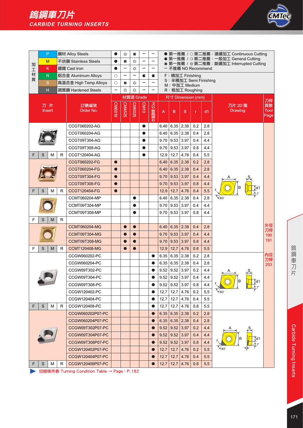

|    | P                       |        | 鋼材 Alloy Steels       |           | €€     | ×                        | -           | -                        |      |                        |                                         |     |         | ● 第一推薦 / ○ 第二推薦: 連續加工 Continuous Cutting                                         |                          |
|----|-------------------------|--------|-----------------------|-----------|--------|--------------------------|-------------|--------------------------|------|------------------------|-----------------------------------------|-----|---------|----------------------------------------------------------------------------------|--------------------------|
| 加  | M                       |        | 不銹鋼 Stainless Steels  | ●         | #      | €₿                       |             |                          |      |                        |                                         |     |         | ● 第一推薦 / G 第二推薦: 一般加工 General Cutting<br>* 第一推薦 / ※第二推薦:斷續加工 Interrupted Cutting |                          |
| 工  | κ                       |        | 鑄鐵 Cast Iron          |           |        | €₿                       |             | $\overline{\phantom{0}}$ |      |                        | - 不推薦 NO Recommend                      |     |         |                                                                                  |                          |
| 材  | $\overline{\mathsf{N}}$ |        | 鋁合金 Aluminum Alloys   | $\circ$   |        | $\overline{\phantom{0}}$ | C           | C                        |      |                        | F: 精加工 Finishing                        |     |         |                                                                                  |                          |
| 質  | $\mathbf S$             |        | 高溫合金 High Temp Alloys | $\circ$   | #      | €₿                       | -           |                          |      |                        | S: 半精加工 Semi Finishing<br>M: 中加工 Medium |     |         |                                                                                  |                          |
|    | H                       |        | 調質鋼 Hardened Steels   |           | €€     | 怨                        |             |                          |      |                        | R: 粗加工 Roughing                         |     |         |                                                                                  |                          |
|    |                         |        |                       |           |        | 材質碼 Grade                |             |                          |      |                        | 尺寸 Dimension (mm)                       |     |         |                                                                                  |                          |
|    | 刀片<br><b>Insert</b>     |        | 訂購編號<br>Order No.     | CIVI6010  | CM4525 | <b>CM6025</b>            | <b>CM10</b> | PCD 聚晶鑽石                 | А    | B                      | S                                       | r   | dd1     | 刀片 2D 圖<br><b>Drawing</b>                                                        | 刀桿<br>頁數<br>Tool<br>Page |
|    |                         |        | CCGT060202-AG         |           |        |                          | $\bullet$   |                          | 6.40 | $6.35$ 2.38            |                                         | 0.2 | 2.8     |                                                                                  |                          |
|    |                         |        | CCGT060204-AG         |           |        |                          | $\bullet$   |                          | 6.40 | $6.35$ 2.38            |                                         | 0.4 | 2.8     |                                                                                  |                          |
|    |                         |        | CCGT09T304-AG         |           |        |                          | $\bullet$   |                          | 9.70 | 9.53                   | 3.97                                    | 0.4 | 4.4     |                                                                                  |                          |
|    |                         |        | CCGT09T308-AG         |           |        |                          | $\bullet$   |                          | 9.70 | 9.53                   | 3.97                                    | 0.8 | 4.4     |                                                                                  |                          |
| F  | S                       | M<br>R | CCGT120404-AG         |           |        |                          |             |                          | 12.9 | 12.7                   | 4.76                                    | 0.4 | 5.5     |                                                                                  |                          |
|    |                         |        | CCGT060202-FG         | $\bullet$ |        |                          |             |                          | 6.40 | 6.35                   | 2.38                                    | 0.2 | 2.8     |                                                                                  |                          |
|    |                         |        | CCGT060204-FG         | $\bullet$ |        |                          |             |                          | 6.40 | 6.35                   | 2.38                                    | 0.4 | 2.8     |                                                                                  |                          |
|    |                         |        | <b>CCGT09T304-FG</b>  | $\bullet$ |        |                          |             |                          | 9.70 | 9.53                   | 3.97                                    | 0.4 | 4.4     |                                                                                  |                          |
|    |                         |        | CCGT09T308-FG         | $\bullet$ |        |                          |             |                          | 9.70 | 9.53                   | 3.97                                    | 0.8 | 4.4     |                                                                                  |                          |
| F  | S                       | M<br>R | <b>CCGT120404-FG</b>  | $\bullet$ |        |                          |             |                          | 12.9 | 12.7                   | 4.76                                    | 0.4 | 5.5     | в<br>Id1                                                                         |                          |
|    |                         |        | CCMT060204-MP         |           |        | $\bullet$                |             |                          | 6.40 | 6.35                   | 2.38                                    | 0.4 | 2.8     | $\sqrt{80}$                                                                      |                          |
|    |                         |        | CCMT09T304-MP         |           |        | $\bullet$                |             |                          | 9.70 | 9.53                   | 3.97                                    | 0.4 | 4.4     |                                                                                  |                          |
|    |                         |        | CCMT09T308-MP         |           |        | $\bullet$                |             |                          | 9.70 | 9.53                   | 3.97                                    | 0.8 | 4.4     |                                                                                  |                          |
| F  | S                       | R<br>M |                       |           |        |                          |             |                          |      |                        |                                         |     |         |                                                                                  |                          |
|    |                         |        | <b>CCMT060204-MG</b>  |           |        | $\bullet$                |             |                          | 6.40 | 6.35                   | 2.38                                    | 0.4 | 2.8     |                                                                                  | 外徑<br>刀桿                 |
|    |                         |        | CCMT09T304-MG         |           |        | $\bullet$                |             |                          | 9.70 | 9.53                   | 3.97                                    | 0.4 | 4.4     |                                                                                  | 190                      |
|    |                         |        | CCMT09T308-MG         |           |        | $\bullet$                |             |                          | 9.70 | 9.53                   | 3.97                                    | 0.8 | 4.4     |                                                                                  | 191                      |
| F  | S                       | M<br>R | <b>CCMT120408-MG</b>  |           |        |                          |             |                          | 12.9 | 12.7                   | 4.76                                    | 0.8 | 5.5     |                                                                                  |                          |
|    |                         |        | CCGW060202-PC         |           |        |                          |             | $\bullet$                | 6.35 | 6.35                   | 2.38                                    | 0.2 | 2.8     |                                                                                  | 內徑                       |
|    |                         |        | CCGW060204-PC         |           |        |                          |             | $\bullet$                | 6.35 | $6.35$ 2.38            |                                         | 0.4 | 2.8     |                                                                                  | 刀桿<br>203                |
|    |                         |        | CCGW09T302-PC         |           |        |                          |             | $\bullet$                | 9.52 | $9.52$ 3.97            |                                         | 0.2 | 4.4     |                                                                                  |                          |
|    |                         |        | CCGW09T304-PC         |           |        |                          |             | $\bullet$                | 9.52 | 9.52                   | 3.97                                    | 0.4 | 4.4     |                                                                                  |                          |
|    |                         |        | CCGW09T308-PC         |           |        |                          |             | $\bullet$                |      | $9.52$   $9.52$   3.97 |                                         | 0.8 | 4.4     | ΙB<br>Ţd1                                                                        |                          |
|    |                         |        | CCGW120402-PC         |           |        |                          |             | $\bullet$                | 12.7 |                        | $12.7 \mid 4.76$                        | 0.2 | 5.5     | $480^\circ$                                                                      |                          |
|    |                         |        | CCGW120404-PC         |           |        |                          |             | $\bullet$                | 12.7 | 12.7                   | 4.76                                    | 0.4 | 5.5     |                                                                                  |                          |
| F. | S                       | R<br>м | CCGW120408-PC         |           |        |                          |             | $\bullet$                | 12.7 |                        | $12.7$ 4.76                             | 0.8 | 5.5     |                                                                                  |                          |
|    |                         |        | CCGW060202P07-PC      |           |        |                          |             | $\bullet$                | 6.35 |                        | $6.35$ 2.38                             | 0.2 | 2.8     |                                                                                  |                          |
|    |                         |        | CCGW060204P07-PC      |           |        |                          |             | $\bullet$                | 6.35 | 6.35                   | 2.38                                    | 0.4 | 2.8     |                                                                                  |                          |
|    |                         |        | CCGW09T302P07-PC      |           |        |                          |             | $\bullet$                | 9.52 | 9.52                   | 3.97                                    | 0.2 | 4.4     |                                                                                  |                          |
|    |                         |        | CCGW09T304P07-PC      |           |        |                          |             | $\bullet$                | 9.52 | 9.52                   | 3.97                                    | 0.4 | 4.4     |                                                                                  |                          |
|    |                         |        | CCGW09T308P07-PC      |           |        |                          |             | $\bullet$                | 9.52 | 9.52                   | 3.97                                    | 0.8 | 4.4     |                                                                                  |                          |
|    |                         |        | CCGW120402P07-PC      |           |        |                          |             | $\bullet$                | 12.7 | 12.7                   | 4.76                                    | 0.2 | 5.5     |                                                                                  |                          |
|    |                         |        | CCGW120404P07-PC      |           |        |                          |             | $\bullet$                | 12.7 | 12.7                   | 4.76                                    | 0.4 | 5.5     |                                                                                  |                          |
| F. | S                       | R<br>м | CCGW120408P07-PC      |           |        |                          |             | $\bullet$                | 12.7 | 12.7                   | 4.76                                    | 0.8 | $5.5\,$ |                                                                                  |                          |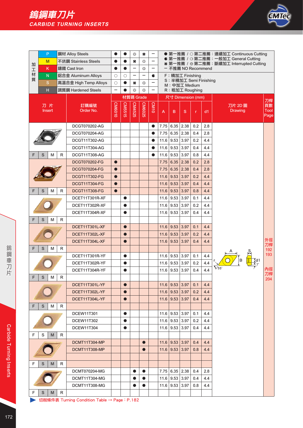

| 加      | P<br>M                  |   | 鋼材 Alloy Steels<br>不銹鋼 Stainless Steels | $\bullet$<br>$\bullet$ | $\bullet$ | ₩<br>₩                   | ×<br>₩                   | -                        |      |                                            |      |              |     | ● 第一推薦 / ○ 第二推薦: 連續加工 Continuous Cutting<br>● 第一推薦 / G 第二推薦: 一般加工 General Cutting<br>* 第一推薦 / ※第二推薦:斷續加工 Interrupted Cutting |                           |
|--------|-------------------------|---|-----------------------------------------|------------------------|-----------|--------------------------|--------------------------|--------------------------|------|--------------------------------------------|------|--------------|-----|------------------------------------------------------------------------------------------------------------------------------|---------------------------|
| 工      | K                       |   | 鑄鐵 Cast Iron                            | $\bullet$              | $\bullet$ | $\overline{\phantom{0}}$ | ₩                        | -                        |      | - 不推薦 NO Recommend                         |      |              |     |                                                                                                                              |                           |
| 材<br>質 | N                       |   | 鋁合金 Aluminum Alloys                     | $\circ$                | $\circ$   | $\overline{\phantom{0}}$ | $\overline{\phantom{0}}$ | c                        |      | F: 精加工 Finishing<br>S: 半精加工 Semi Finishing |      |              |     |                                                                                                                              |                           |
|        | ${\mathbf S}$           |   | 高溫合金 High Temp Alloys                   | $\circ$                | $\bullet$ | ₩                        | ₩                        | $\overline{\phantom{0}}$ |      | M: 中加工 Medium                              |      |              |     |                                                                                                                              |                           |
|        | $\overline{\mathbf{H}}$ |   | 調質鋼 Hardened Steels                     | -                      |           | €₿                       | €₿                       |                          |      | R: 粗加工 Roughing                            |      |              |     |                                                                                                                              |                           |
|        |                         |   |                                         |                        |           | 材質碼 Grade                |                          |                          |      | 尺寸 Dimension (mm)                          |      |              |     | 刀桿                                                                                                                           |                           |
|        | 刀片<br><b>Insert</b>     |   | 訂購編號<br>Order No.                       | CM6010                 | CM5515    | CM4525                   | <b>CM6025</b>            | CM10                     | A    | B                                          | S    | $\mathsf{r}$ | d1  | 刀片 2D 圖<br><b>Drawing</b>                                                                                                    | 頁數<br><b>Tool</b><br>Page |
|        |                         |   | DCGT070202-AG                           |                        |           |                          |                          | $\bullet$                | 7.75 | 6.35                                       | 2.38 | 0.2          | 2.8 |                                                                                                                              |                           |
|        |                         |   | DCGT070204-AG                           |                        |           |                          |                          | $\bullet$                | 7.75 | 6.35                                       | 2.38 | 0.4          | 2.8 |                                                                                                                              |                           |
|        |                         |   | DCGT11T302-AG                           |                        |           |                          |                          |                          | 11.6 | 9.53                                       | 3.97 | 0.2          | 4.4 |                                                                                                                              |                           |
|        |                         |   | DCGT11T304-AG                           |                        |           |                          |                          | ●                        | 11.6 | 9.53                                       | 3.97 | 0.4          | 4.4 |                                                                                                                              |                           |
| F      | S<br>M                  | R | DCGT11T308-AG                           |                        |           |                          |                          |                          | 11.6 | 9.53                                       | 3.97 | 0.8          | 4.4 |                                                                                                                              |                           |
|        |                         |   | <b>DCGT070202-FG</b>                    | $\bullet$              |           |                          |                          |                          | 7.75 | 6.35                                       | 2.38 | 0.2          | 2.8 |                                                                                                                              |                           |
|        |                         |   | DCGT070204-FG                           | $\bullet$              |           |                          |                          |                          | 7.75 | 6.35                                       | 2.38 | 0.4          | 2.8 |                                                                                                                              |                           |
|        |                         |   | <b>DCGT11T302-FG</b>                    | $\bullet$              |           |                          |                          |                          | 11.6 | 9.53                                       | 3.97 | 0.2          | 4.4 |                                                                                                                              |                           |
|        |                         |   | DCGT11T304-FG                           | $\bullet$              |           |                          |                          |                          | 11.6 | 9.53                                       | 3.97 | 0.4          | 4.4 |                                                                                                                              |                           |
| F      | S<br>M                  | R | DCGT11T308-FG                           | $\bullet$              |           |                          |                          |                          | 11.6 | 9.53                                       | 3.97 | 0.8          | 4.4 |                                                                                                                              |                           |
|        |                         |   | DCET11T301R-XF                          |                        | $\bullet$ |                          |                          |                          | 11.6 | 9.53                                       | 3.97 | 0.1          | 4.4 |                                                                                                                              |                           |
|        |                         |   | DCET11T302R-XF                          |                        | $\bullet$ |                          |                          |                          | 11.6 | 9.53                                       | 3.97 | 0.2          | 4.4 |                                                                                                                              |                           |
|        |                         |   | DCET11T304R-XF                          |                        | $\bullet$ |                          |                          |                          | 11.6 | 9.53                                       | 3.97 | 0.4          | 4.4 |                                                                                                                              |                           |
| F      | S<br>M                  | R |                                         |                        |           |                          |                          |                          |      |                                            |      |              |     |                                                                                                                              |                           |
|        |                         |   | DCET11T301L-XF                          |                        | $\bullet$ |                          |                          |                          | 11.6 | 9.53                                       | 3.97 | 0.1          | 4.4 |                                                                                                                              |                           |
|        |                         |   | DCET11T302L-XF                          |                        | $\bullet$ |                          |                          |                          | 11.6 | 9.53                                       | 3.97 | 0.2          | 4.4 |                                                                                                                              |                           |
|        |                         |   | DCET11T304L-XF                          |                        | $\bullet$ |                          |                          |                          | 11.6 | 9.53                                       | 3.97 | 0.4          | 4.4 |                                                                                                                              | 外徑                        |
| F      | S<br>M                  | R |                                         |                        |           |                          |                          |                          |      |                                            |      |              |     |                                                                                                                              | 刀桿<br>192                 |
|        |                         |   | DCET11T301R-YF                          |                        | $\bullet$ |                          |                          |                          | 11.6 | 9.53                                       | 3.97 | 0.1          | 4.4 |                                                                                                                              | 193                       |
|        |                         |   | DCET11T302R-YF                          |                        | $\bullet$ |                          |                          |                          | 11.6 | 9.53                                       | 3.97 | 0.2          | 4.4 |                                                                                                                              |                           |
|        |                         |   | DCET11T304R-YF                          |                        | $\bullet$ |                          |                          |                          | 11.6 | 9.53                                       | 3.97 | 0.4          | 4.4 | $Y$ 55                                                                                                                       | 內徑                        |
| ۲      | S<br>M                  | R |                                         |                        |           |                          |                          |                          |      |                                            |      |              |     |                                                                                                                              | 刀桿<br>204                 |
|        |                         |   | DCET11T301L-YF                          |                        | $\bullet$ |                          |                          |                          |      | $11.6$   9.53                              | 3.97 | 0.1          | 4.4 |                                                                                                                              |                           |
|        |                         |   | DCET11T302L-YF                          |                        | $\bullet$ |                          |                          |                          |      | $11.6$ 9.53 3.97                           |      | 0.2          | 4.4 |                                                                                                                              |                           |
|        |                         |   | DCET11T304L-YF                          |                        |           |                          |                          |                          | 11.6 | 9.53                                       | 3.97 | 0.4          | 4.4 |                                                                                                                              |                           |
| F      | S<br>M                  | R |                                         |                        |           |                          |                          |                          |      |                                            |      |              |     |                                                                                                                              |                           |
|        |                         |   | <b>DCEW11T301</b>                       |                        | $\bullet$ |                          |                          |                          |      | $11.6$ 9.53 3.97                           |      | 0.1          | 4.4 |                                                                                                                              |                           |
|        |                         |   | DCEW11T302                              |                        | ●         |                          |                          |                          |      | $11.6$   9.53                              | 3.97 | 0.2          | 4.4 |                                                                                                                              |                           |
|        |                         |   | <b>DCEW11T304</b>                       |                        | $\bullet$ |                          |                          |                          | 11.6 | 9.53                                       | 3.97 | 0.4          | 4.4 |                                                                                                                              |                           |
| F      | S<br>M                  | R |                                         |                        |           |                          |                          |                          |      |                                            |      |              |     |                                                                                                                              |                           |
|        |                         |   | DCMT11T304-MP                           |                        |           |                          | $\bullet$                |                          |      | $11.6$   9.53                              | 3.97 | 0.4          | 4.4 |                                                                                                                              |                           |
|        |                         |   | DCMT11T308-MP                           |                        |           |                          | $\bullet$                |                          | 11.6 | 9.53                                       | 3.97 | 0.8          | 4.4 |                                                                                                                              |                           |
|        |                         |   |                                         |                        |           |                          |                          |                          |      |                                            |      |              |     |                                                                                                                              |                           |
| F      | S<br>M                  | R |                                         |                        |           |                          |                          |                          |      |                                            |      |              |     |                                                                                                                              |                           |
|        |                         |   | DCMT070204-MG                           |                        |           | $\bullet$                | $\bullet$                |                          |      | $7.75$ 6.35 2.38                           |      | 0.4          | 2.8 |                                                                                                                              |                           |
|        |                         |   | DCMT11T304-MG                           |                        |           |                          |                          |                          | 11.6 | 9.53   3.97                                |      | 0.4          | 4.4 |                                                                                                                              |                           |
|        |                         |   | DCMT11T308-MG                           |                        |           | $\bullet$                | $\bullet$                |                          | 11.6 | 9.53                                       | 3.97 | 0.8          | 4.4 |                                                                                                                              |                           |
| F      | S<br>M                  | R |                                         |                        |           |                          |                          |                          |      |                                            |      |              |     |                                                                                                                              |                           |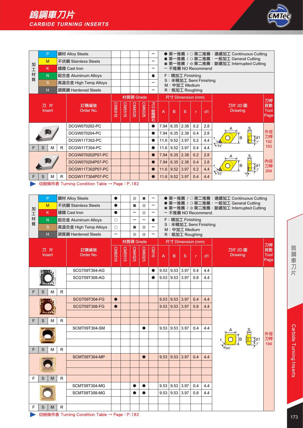

|        | P                   |   | 鋼材 Alloy Steels       |          |                    |           |               | -           |      |      |                                         |              |     | ● 第一推薦 / ○ 第二推薦:連續加工 Continuous Cutting                                         |                           |
|--------|---------------------|---|-----------------------|----------|--------------------|-----------|---------------|-------------|------|------|-----------------------------------------|--------------|-----|---------------------------------------------------------------------------------|---------------------------|
| 加      | M                   |   | 不銹鋼 Stainless Steels  |          |                    |           |               | -           |      |      |                                         |              |     | ● 第一推薦 / G第二推薦:一般加工 General Cutting<br>★ 第一推薦 / ❀ 第二推薦:斷續加工 Interrupted Cutting |                           |
| 工      | K                   |   | 鑄鐵 Cast Iron          |          |                    |           |               | -           |      |      | - 不推薦 NO Recommend                      |              |     |                                                                                 |                           |
| 材<br>質 | N                   |   | 鋁合金 Aluminum Alloys   |          |                    |           |               | c           |      |      | F: 精加工 Finishing                        |              |     |                                                                                 |                           |
|        | S                   |   | 高溫合金 High Temp Alloys |          |                    |           |               | -           |      |      | S: 半精加工 Semi Finishing<br>M: 中加工 Medium |              |     |                                                                                 |                           |
|        | н                   |   | 調質鋼 Hardened Steels   |          |                    |           |               | -           |      |      | R: 粗加工 Roughing                         |              |     |                                                                                 |                           |
|        |                     |   |                       |          |                    | 材質碼 Grade |               |             |      |      | 尺寸 Dimension (mm)                       |              |     |                                                                                 | 刀桿                        |
|        | 刀片<br><b>Insert</b> |   | 訂購編號<br>Order No.     | CIVI6010 | CM551<br><b>CT</b> | CM4525    | <b>CM6025</b> | g<br>) 聚晶鑽石 | A    | B    | S                                       | $\mathbf{r}$ | dd1 | 刀片 2D 圖<br><b>Drawing</b>                                                       | 頁數<br><b>Tool</b><br>Page |
|        |                     |   | DCGW070202-PC         |          |                    |           |               | $\bullet$   | 7.94 | 6.35 | 2.38                                    | 0.2          | 2.8 | ¦S,                                                                             |                           |
|        |                     |   | DCGW070204-PC         |          |                    |           |               | $\bullet$   | 7.94 | 6.35 | 2.38                                    | 0.4          | 2.8 |                                                                                 | 外徑<br>刀桿                  |
|        |                     |   | DCGW11T302-PC         |          |                    |           |               | $\bullet$   | 11.6 | 9.52 | 3.97                                    | 0.2          | 4.4 | $\frac{1}{\sqrt{2}}$ d1<br>B                                                    | 192                       |
| F      | S<br>M              | R | DCGW11T304-PC         |          |                    |           |               | $\bullet$   | 11.6 | 9.52 | 3.97                                    | 0.4          | 4.4 | $\sqrt{55}$                                                                     | 193                       |
|        |                     |   | DCGW070202P07-PC      |          |                    |           |               | $\bullet$   | 7.94 | 6.35 | 2.38                                    | 0.2          | 2.8 | ုဒ္                                                                             |                           |
|        |                     |   | DCGW070204P07-PC      |          |                    |           |               | $\bullet$   | 7.94 | 6.35 | 2.38                                    | 0.4          | 2.8 | B<br>td.                                                                        | 內徑<br>刀桿                  |
|        |                     |   | DCGW11T302P07-PC      |          |                    |           |               | $\bullet$   | 11.6 | 9.52 | 3.97                                    | 0.2          | 4.4 | $\sqrt{55}$                                                                     | 204                       |
| F      | S<br>м              | R | DCGW11T304P07-PC      |          |                    |           |               | $\bullet$   | 11.6 | 9.52 | 3.97                                    | 0.4          | 4.4 |                                                                                 |                           |

| ● 第一推薦 / G 第二推薦: 一般加工 General Cutting<br>$\xi_n^0$<br>不銹鋼 Stainless Steels<br>#<br>M<br>-<br>$\bullet$<br>* 第一推薦 / ※ 第二推薦:斷續加工 Interrupted Cutting<br>加<br>දැදි<br>K<br>鑄鐵 Cast Iron<br>$\bullet$<br>—<br>- 不推薦 NO Recommend<br>$\overline{\phantom{0}}$<br>I<br>材<br>F: 精加工 Finishing<br>N<br>鋁合金 Aluminum Alloys<br>$\circ$<br>c<br>質<br>S: 半精加工 Semi Finishing<br>$\mathbf S$<br>高溫合金 High Temp Alloys<br>$\circ$<br>#<br>€₿<br>M: 中加工 Medium<br>H<br>$\overline{\phantom{0}}$<br>調質鋼 Hardened Steels<br>€₿<br>€€<br>R: 粗加工 Roughing<br>$\overline{\phantom{0}}$<br>材質碼 Grade<br>尺寸 Dimension (mm)<br>刀桿<br>CM4525<br>CM6010<br>CM5515<br>CM6025<br>CM10<br>刀片<br>頁數<br>訂購編號<br>刀片 2D 圖<br>Order No.<br><b>Tool</b><br><b>Insert</b><br><b>Drawing</b><br>$\overline{A}$<br>B<br>S<br>dd1<br>$\mathsf{r}$<br>Page<br>9.53   9.53  <br>3.97<br>SCGT09T304-AG<br>0.4<br>4.4<br>$\bullet$<br>SCGT09T308-AG<br>9.53<br>9.53<br>3.97<br>0.8<br>4.4<br>$\bullet$<br>F<br>S<br>M<br>R.<br>9.53<br>3.97<br><b>SCGT09T304-FG</b><br>9.53<br>0.4<br>4.4<br>$\bullet$<br>3.97<br><b>SCGT09T308-FG</b><br>9.53<br>9.53<br>0.8<br>4.4<br>$\bullet$<br>S<br>R<br>F<br>M<br>9.53   9.53<br>3.97<br>SCMT09T304-SM<br>0.4<br>4.4<br>外徑<br>刀桿<br>194<br>R<br>F<br>S<br>M<br>SCMT09T304-MP<br>9.53<br>9.53<br>3.97<br>0.4<br>4.4<br>$\bullet$<br>F<br>S<br>R<br>M<br>9.53   9.53<br>3.97<br>SCMT09T304-MG<br>0.4<br>4.4<br>●<br>9.53   9.53<br>3.97<br>SCMT09T308-MG<br>0.8<br>4.4<br>●<br>R<br>F<br>S<br>M<br>切削條件表 Turning Condition Table → Page: P.182 | P | 鋼材 Alloy Steels |  | €₿ | × | $\overline{\phantom{0}}$ |  |  | ● 第一推薦 / ○ 第二推薦: 連續加工 Continuous Cutting |
|--------------------------------------------------------------------------------------------------------------------------------------------------------------------------------------------------------------------------------------------------------------------------------------------------------------------------------------------------------------------------------------------------------------------------------------------------------------------------------------------------------------------------------------------------------------------------------------------------------------------------------------------------------------------------------------------------------------------------------------------------------------------------------------------------------------------------------------------------------------------------------------------------------------------------------------------------------------------------------------------------------------------------------------------------------------------------------------------------------------------------------------------------------------------------------------------------------------------------------------------------------------------------------------------------------------------------------------------------------------------------------------------------------------------------------------------------------------------------------------------------------------------------------------------|---|-----------------|--|----|---|--------------------------|--|--|------------------------------------------|
|                                                                                                                                                                                                                                                                                                                                                                                                                                                                                                                                                                                                                                                                                                                                                                                                                                                                                                                                                                                                                                                                                                                                                                                                                                                                                                                                                                                                                                                                                                                                            |   |                 |  |    |   |                          |  |  |                                          |
|                                                                                                                                                                                                                                                                                                                                                                                                                                                                                                                                                                                                                                                                                                                                                                                                                                                                                                                                                                                                                                                                                                                                                                                                                                                                                                                                                                                                                                                                                                                                            |   |                 |  |    |   |                          |  |  |                                          |
|                                                                                                                                                                                                                                                                                                                                                                                                                                                                                                                                                                                                                                                                                                                                                                                                                                                                                                                                                                                                                                                                                                                                                                                                                                                                                                                                                                                                                                                                                                                                            |   |                 |  |    |   |                          |  |  |                                          |
|                                                                                                                                                                                                                                                                                                                                                                                                                                                                                                                                                                                                                                                                                                                                                                                                                                                                                                                                                                                                                                                                                                                                                                                                                                                                                                                                                                                                                                                                                                                                            |   |                 |  |    |   |                          |  |  |                                          |
|                                                                                                                                                                                                                                                                                                                                                                                                                                                                                                                                                                                                                                                                                                                                                                                                                                                                                                                                                                                                                                                                                                                                                                                                                                                                                                                                                                                                                                                                                                                                            |   |                 |  |    |   |                          |  |  |                                          |
|                                                                                                                                                                                                                                                                                                                                                                                                                                                                                                                                                                                                                                                                                                                                                                                                                                                                                                                                                                                                                                                                                                                                                                                                                                                                                                                                                                                                                                                                                                                                            |   |                 |  |    |   |                          |  |  |                                          |
|                                                                                                                                                                                                                                                                                                                                                                                                                                                                                                                                                                                                                                                                                                                                                                                                                                                                                                                                                                                                                                                                                                                                                                                                                                                                                                                                                                                                                                                                                                                                            |   |                 |  |    |   |                          |  |  |                                          |
|                                                                                                                                                                                                                                                                                                                                                                                                                                                                                                                                                                                                                                                                                                                                                                                                                                                                                                                                                                                                                                                                                                                                                                                                                                                                                                                                                                                                                                                                                                                                            |   |                 |  |    |   |                          |  |  |                                          |
|                                                                                                                                                                                                                                                                                                                                                                                                                                                                                                                                                                                                                                                                                                                                                                                                                                                                                                                                                                                                                                                                                                                                                                                                                                                                                                                                                                                                                                                                                                                                            |   |                 |  |    |   |                          |  |  |                                          |
|                                                                                                                                                                                                                                                                                                                                                                                                                                                                                                                                                                                                                                                                                                                                                                                                                                                                                                                                                                                                                                                                                                                                                                                                                                                                                                                                                                                                                                                                                                                                            |   |                 |  |    |   |                          |  |  |                                          |
|                                                                                                                                                                                                                                                                                                                                                                                                                                                                                                                                                                                                                                                                                                                                                                                                                                                                                                                                                                                                                                                                                                                                                                                                                                                                                                                                                                                                                                                                                                                                            |   |                 |  |    |   |                          |  |  |                                          |
|                                                                                                                                                                                                                                                                                                                                                                                                                                                                                                                                                                                                                                                                                                                                                                                                                                                                                                                                                                                                                                                                                                                                                                                                                                                                                                                                                                                                                                                                                                                                            |   |                 |  |    |   |                          |  |  |                                          |
|                                                                                                                                                                                                                                                                                                                                                                                                                                                                                                                                                                                                                                                                                                                                                                                                                                                                                                                                                                                                                                                                                                                                                                                                                                                                                                                                                                                                                                                                                                                                            |   |                 |  |    |   |                          |  |  |                                          |
|                                                                                                                                                                                                                                                                                                                                                                                                                                                                                                                                                                                                                                                                                                                                                                                                                                                                                                                                                                                                                                                                                                                                                                                                                                                                                                                                                                                                                                                                                                                                            |   |                 |  |    |   |                          |  |  |                                          |
|                                                                                                                                                                                                                                                                                                                                                                                                                                                                                                                                                                                                                                                                                                                                                                                                                                                                                                                                                                                                                                                                                                                                                                                                                                                                                                                                                                                                                                                                                                                                            |   |                 |  |    |   |                          |  |  |                                          |
|                                                                                                                                                                                                                                                                                                                                                                                                                                                                                                                                                                                                                                                                                                                                                                                                                                                                                                                                                                                                                                                                                                                                                                                                                                                                                                                                                                                                                                                                                                                                            |   |                 |  |    |   |                          |  |  |                                          |
|                                                                                                                                                                                                                                                                                                                                                                                                                                                                                                                                                                                                                                                                                                                                                                                                                                                                                                                                                                                                                                                                                                                                                                                                                                                                                                                                                                                                                                                                                                                                            |   |                 |  |    |   |                          |  |  |                                          |
|                                                                                                                                                                                                                                                                                                                                                                                                                                                                                                                                                                                                                                                                                                                                                                                                                                                                                                                                                                                                                                                                                                                                                                                                                                                                                                                                                                                                                                                                                                                                            |   |                 |  |    |   |                          |  |  |                                          |
|                                                                                                                                                                                                                                                                                                                                                                                                                                                                                                                                                                                                                                                                                                                                                                                                                                                                                                                                                                                                                                                                                                                                                                                                                                                                                                                                                                                                                                                                                                                                            |   |                 |  |    |   |                          |  |  |                                          |
|                                                                                                                                                                                                                                                                                                                                                                                                                                                                                                                                                                                                                                                                                                                                                                                                                                                                                                                                                                                                                                                                                                                                                                                                                                                                                                                                                                                                                                                                                                                                            |   |                 |  |    |   |                          |  |  |                                          |
|                                                                                                                                                                                                                                                                                                                                                                                                                                                                                                                                                                                                                                                                                                                                                                                                                                                                                                                                                                                                                                                                                                                                                                                                                                                                                                                                                                                                                                                                                                                                            |   |                 |  |    |   |                          |  |  |                                          |
|                                                                                                                                                                                                                                                                                                                                                                                                                                                                                                                                                                                                                                                                                                                                                                                                                                                                                                                                                                                                                                                                                                                                                                                                                                                                                                                                                                                                                                                                                                                                            |   |                 |  |    |   |                          |  |  |                                          |
|                                                                                                                                                                                                                                                                                                                                                                                                                                                                                                                                                                                                                                                                                                                                                                                                                                                                                                                                                                                                                                                                                                                                                                                                                                                                                                                                                                                                                                                                                                                                            |   |                 |  |    |   |                          |  |  |                                          |
|                                                                                                                                                                                                                                                                                                                                                                                                                                                                                                                                                                                                                                                                                                                                                                                                                                                                                                                                                                                                                                                                                                                                                                                                                                                                                                                                                                                                                                                                                                                                            |   |                 |  |    |   |                          |  |  |                                          |
|                                                                                                                                                                                                                                                                                                                                                                                                                                                                                                                                                                                                                                                                                                                                                                                                                                                                                                                                                                                                                                                                                                                                                                                                                                                                                                                                                                                                                                                                                                                                            |   |                 |  |    |   |                          |  |  |                                          |
|                                                                                                                                                                                                                                                                                                                                                                                                                                                                                                                                                                                                                                                                                                                                                                                                                                                                                                                                                                                                                                                                                                                                                                                                                                                                                                                                                                                                                                                                                                                                            |   |                 |  |    |   |                          |  |  |                                          |
|                                                                                                                                                                                                                                                                                                                                                                                                                                                                                                                                                                                                                                                                                                                                                                                                                                                                                                                                                                                                                                                                                                                                                                                                                                                                                                                                                                                                                                                                                                                                            |   |                 |  |    |   |                          |  |  |                                          |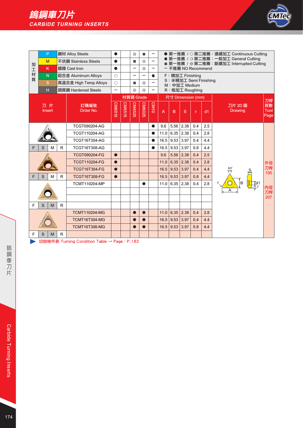

|   |   | P            |    | 鋼材 Alloy Steels       | $\bullet$ |        | 63        | #                        | -                                                              |                                    |             |                                         |              |     | ● 第一推薦 / ○ 第二推薦:連續加工 Continuous Cutting                                          |                           |
|---|---|--------------|----|-----------------------|-----------|--------|-----------|--------------------------|----------------------------------------------------------------|------------------------------------|-------------|-----------------------------------------|--------------|-----|----------------------------------------------------------------------------------|---------------------------|
| 加 | M |              |    | 不銹鋼 Stainless Steels  | $\bullet$ |        | #         | €₿                       |                                                                |                                    |             |                                         |              |     | ● 第一推薦 / G 第二推薦: 一般加工 General Cutting<br>* 第一推薦 / ※第二推薦:斷續加工 Interrupted Cutting |                           |
| 工 |   | K            |    | 鑄鐵 Cast Iron          | $\bullet$ |        | -         | €,                       | $\overline{\phantom{0}}$                                       |                                    |             | ー 不推薦 NO Recommend                      |              |     |                                                                                  |                           |
| 材 |   | N.           |    | 鋁合金 Aluminum Alloys   | $\circ$   |        | -         | $\overline{\phantom{0}}$ | c                                                              |                                    |             | F: 精加工 Finishing                        |              |     |                                                                                  |                           |
| 質 |   | <sub>S</sub> |    | 高溫合金 High Temp Alloys | $\circ$   |        | #         | €₿                       |                                                                |                                    |             | S: 半精加工 Semi Finishing<br>M: 中加工 Medium |              |     |                                                                                  |                           |
|   |   | H            |    | 調質鋼 Hardened Steels   | -         |        | දැදු      | දැද                      | -                                                              |                                    |             | R: 粗加工 Roughing                         |              |     |                                                                                  |                           |
|   |   |              |    |                       |           |        | 材質碼 Grade |                          |                                                                |                                    |             | 尺寸 Dimension (mm)                       |              |     |                                                                                  | 刀桿                        |
|   |   | 刀片<br>Insert |    | 訂購編號<br>Order No.     | CIVI6010  | CM5515 | CM4525    | <b>CM6025</b>            | CM10                                                           | $\overline{A}$                     | B           | <sub>S</sub>                            | $\mathbf{r}$ | d1  | 刀片 2D 圖<br><b>Drawing</b>                                                        | 頁數<br><b>Tool</b><br>Page |
|   |   |              |    | TCGT090204-AG         |           |        |           |                          |                                                                | 9.6                                | 5.56        | 2.38                                    | 0.4          | 2.5 |                                                                                  |                           |
|   |   |              |    | TCGT110204-AG         |           |        |           |                          | 6.35<br>2.38<br>0.4<br>2.8<br>11.0<br>$\bullet$<br>3.97<br>0.4 |                                    |             |                                         |              |     |                                                                                  |                           |
|   |   |              |    | TCGT16T304-AG         |           |        |           |                          |                                                                | 16.5                               | 9.53        |                                         |              | 4.4 |                                                                                  |                           |
| F | S | м            | R  | <b>TCGT16T308-AG</b>  |           |        |           |                          | e                                                              | 16.5                               | 9.53        | 3.97                                    | 0.8          | 4.4 |                                                                                  |                           |
|   |   |              |    | <b>TCGT090204-FG</b>  | $\bullet$ |        |           |                          |                                                                | 9.6                                | 5.56        | 2.38                                    | 0.4          | 2.5 |                                                                                  |                           |
|   |   |              |    | <b>TCGT110204-FG</b>  | $\bullet$ |        |           |                          |                                                                | 11.0                               | 6.35        | 2.38                                    | 0.4          | 2.8 |                                                                                  | 外徑                        |
|   |   |              |    | <b>TCGT16T304-FG</b>  | $\bullet$ |        |           |                          |                                                                | 16.5                               | 9.53        | 3.97                                    | 0.4          | 4.4 | $60^\circ$<br>⇔                                                                  | 刀桿<br>195                 |
| F | S | M            | R  | <b>TCGT16T308-FG</b>  | $\bullet$ |        |           |                          |                                                                | 16.5                               | 9.53        | 3.97                                    | 0.8          | 4.4 |                                                                                  |                           |
|   |   |              |    | <b>TCMT110204-MP</b>  |           |        |           |                          |                                                                |                                    | $11.0$ 6.35 | 2.38                                    | 0.4          | 2.8 | <b>B</b>                                                                         | 內徑                        |
|   |   |              |    |                       |           |        |           |                          |                                                                |                                    |             |                                         |              |     |                                                                                  | 刀桿<br>207                 |
| F | S | M            | R. |                       |           |        |           |                          |                                                                |                                    |             |                                         |              |     |                                                                                  |                           |
|   |   |              |    | <b>TCMT110204-MG</b>  |           |        | $\bullet$ | $\bullet$                |                                                                | 6.35<br>2.38<br>0.4<br>2.8<br>11.0 |             |                                         |              |     |                                                                                  |                           |
|   |   |              |    | <b>TCMT16T304-MG</b>  |           |        | $\bullet$ |                          |                                                                | 16.5                               | 9.53        | 3.97                                    | 0.4          | 4.4 |                                                                                  |                           |
|   |   |              |    | <b>TCMT16T308-MG</b>  |           |        | $\bullet$ |                          |                                                                | 16.5                               | 9.53        | 3.97                                    | 0.8          |     |                                                                                  |                           |
| F | S | M            | R  |                       |           |        |           |                          |                                                                |                                    |             |                                         |              |     |                                                                                  |                           |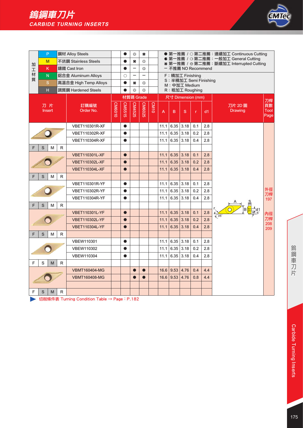

|   | P                   |             | 鋼材 Alloy Steels       |        |           | €₿                       | ×                        |      |      |                   |                   |     |                        | ● 第一推薦 / ○ 第二推薦: 連續加工 Continuous Cutting                                          |                    |
|---|---------------------|-------------|-----------------------|--------|-----------|--------------------------|--------------------------|------|------|-------------------|-------------------|-----|------------------------|-----------------------------------------------------------------------------------|--------------------|
| 加 | M                   |             | 不銹鋼 Stainless Steels  |        |           | #                        | €₿                       |      |      |                   |                   |     |                        | ● 第一推薦 / G 第二推薦: 一般加工 General Cutting<br>* 第一推薦 / ※ 第二推薦:斷續加工 Interrupted Cutting |                    |
| 工 | K.                  |             | 鑄鐵 Cast Iron          |        |           |                          | る                        |      |      |                   |                   |     | ー 不推薦 NO Recommend     |                                                                                   |                    |
| 材 | N.                  |             | 鋁合金 Aluminum Alloys   |        | O         | $\overline{\phantom{0}}$ | $\overline{\phantom{0}}$ |      |      | F:精加工 Finishing   |                   |     |                        |                                                                                   |                    |
| 質 | S                   |             | 高溫合金 High Temp Alloys |        | $\bullet$ | 关                        | ۞                        |      |      | M: 中加工 Medium     |                   |     | S: 半精加工 Semi Finishing |                                                                                   |                    |
|   | $\mathsf H$         |             | 調質鋼 Hardened Steels   |        |           | €₿                       | ₩                        |      |      | R: 粗加工 Roughing   |                   |     |                        |                                                                                   |                    |
|   |                     |             |                       |        |           | 材質碼 Grade                |                          |      |      | 尺寸 Dimension (mm) |                   |     |                        |                                                                                   | 刀桿                 |
|   | 刀片<br><b>Insert</b> |             | 訂購編號<br>Order No.     | CM6010 | CM5515    | CM4525                   | CM6025                   | CM10 | A    | B                 | S                 | r   | d1                     | 刀片 2D 圖<br><b>Drawing</b>                                                         | 頁數<br>Tool<br>Page |
|   |                     |             | <b>VBET110301R-XF</b> |        | $\bullet$ |                          |                          |      | 11.1 |                   | $6.35$ 3.18       | 0.1 | 2.8                    |                                                                                   |                    |
|   |                     |             | VBET110302R-XF        |        | $\bullet$ |                          |                          |      | 11.1 |                   | $6.35 \vert 3.18$ | 0.2 | 2.8                    |                                                                                   |                    |
|   |                     |             | <b>VBET110304R-XF</b> |        |           |                          |                          |      | 11.1 |                   | $6.35$ 3.18       | 0.4 | 2.8                    |                                                                                   |                    |
| F | S<br>M              | R           |                       |        |           |                          |                          |      |      |                   |                   |     |                        |                                                                                   |                    |
|   |                     |             | <b>VBET110301L-XF</b> |        | $\bullet$ |                          |                          |      | 11.1 | 6.35              | 3.18              | 0.1 | 2.8                    |                                                                                   |                    |
|   |                     |             | <b>VBET110302L-XF</b> |        | $\bullet$ |                          |                          |      | 11.1 | 6.35              | 3.18              | 0.2 | 2.8                    |                                                                                   |                    |
|   |                     |             | <b>VBET110304L-XF</b> |        | $\bullet$ |                          |                          |      | 11.1 | 6.35              | 3.18              | 0.4 | 2.8                    |                                                                                   |                    |
| F | S<br>M              | R           |                       |        |           |                          |                          |      |      |                   |                   |     |                        |                                                                                   |                    |
|   |                     |             | VBET110301R-YF        |        | $\bullet$ |                          |                          |      | 11.1 |                   | $6.35$ 3.18       | 0.1 | 2.8                    |                                                                                   |                    |
|   |                     |             | VBET110302R-YF        |        | $\bullet$ |                          |                          |      | 11.1 | 6.35              | 3.18              | 0.2 | 2.8                    |                                                                                   | 外徑<br>刀桿           |
|   |                     |             | <b>VBET110304R-YF</b> |        | $\bullet$ |                          |                          |      | 11.1 |                   | $6.35 \mid 3.18$  | 0.4 | 2.8                    |                                                                                   | 197                |
| F | S<br>M              | R           |                       |        |           |                          |                          |      |      |                   |                   |     |                        |                                                                                   |                    |
|   |                     |             | <b>VBET110301L-YF</b> |        | $\bullet$ |                          |                          |      | 11.1 |                   | $6.35$ 3.18       | 0.1 | 2.8                    | $\sqrt{35}$                                                                       | 內徑                 |
|   |                     |             | <b>VBET110302L-YF</b> |        | $\bullet$ |                          |                          |      | 11.1 | 6.35              | 3.18              | 0.2 | 2.8                    |                                                                                   | 刀桿                 |
|   |                     |             | <b>VBET110304L-YF</b> |        | $\bullet$ |                          |                          |      | 11.1 | 6.35              | 3.18              | 0.4 | 2.8                    |                                                                                   | 208<br>209         |
| F | S<br>M              | $\mathsf R$ |                       |        |           |                          |                          |      |      |                   |                   |     |                        |                                                                                   |                    |
|   |                     |             | <b>VBEW110301</b>     |        | $\bullet$ |                          |                          |      | 11.1 |                   | $6.35$ 3.18       | 0.1 | 2.8                    |                                                                                   |                    |
|   |                     |             | <b>VBEW110302</b>     |        | $\bullet$ |                          |                          |      | 11.1 |                   | $6.35 \vert 3.18$ | 0.2 | 2.8                    |                                                                                   |                    |
|   |                     |             | <b>VBEW110304</b>     |        | $\bullet$ |                          |                          |      | 11.1 |                   | $6.35$ 3.18       | 0.4 | 2.8                    |                                                                                   |                    |
| F | S<br>M              | R           |                       |        |           |                          |                          |      |      |                   |                   |     |                        |                                                                                   |                    |
|   |                     |             | <b>VBMT160404-MG</b>  |        |           | $\bullet$                | $\bullet$                |      | 16.6 | 9.53              | 4.76              | 0.4 | 4.4                    |                                                                                   |                    |
|   |                     |             | <b>VBMT160408-MG</b>  |        |           | $\bullet$                |                          |      | 16.6 | 9.53              | 4.76              | 0.8 | 4.4                    |                                                                                   |                    |
|   |                     |             |                       |        |           |                          |                          |      |      |                   |                   |     |                        |                                                                                   |                    |
| F | S<br>M              | R           |                       |        |           |                          |                          |      |      |                   |                   |     |                        |                                                                                   |                    |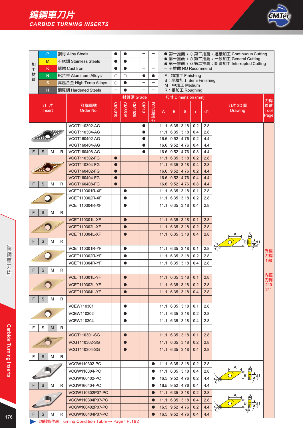

|        | P                       |             | 鋼材 Alloy Steels                              | $\bullet$              | $\bullet$ |           |                          | -                        |              |                  |                                  |               |            | ● 第一推薦 / ○ 第二推薦:連續加工 Continuous Cutting                                            |            |
|--------|-------------------------|-------------|----------------------------------------------|------------------------|-----------|-----------|--------------------------|--------------------------|--------------|------------------|----------------------------------|---------------|------------|------------------------------------------------------------------------------------|------------|
|        | M                       |             | 不銹鋼 Stainless Steels                         | $\bullet$              | $\bullet$ |           |                          | $\overline{\phantom{0}}$ |              |                  |                                  |               |            | ● 第一推薦 / G 第二推薦: 一般加工 General Cutting<br>* 第一推薦 / ※ 第二推薦: 斷續加工 Interrupted Cutting |            |
| 加<br>工 | κ                       |             | 鑄鐵 Cast Iron                                 | $\bullet$              | $\bullet$ |           | $\overline{\phantom{0}}$ | -                        |              |                  | - 不推薦 NO Recommend               |               |            |                                                                                    |            |
| 材      | $\overline{\mathsf{N}}$ |             | 鋁合金 Aluminum Alloys                          | О                      | $\circ$   |           | C                        | c                        |              |                  | F: 精加工 Finishing                 |               |            |                                                                                    |            |
| 質      | S                       |             | 高溫合金 High Temp Alloys                        | $\circ$                | $\bullet$ |           |                          |                          |              |                  | S: 半精加工 Semi Finishing           |               |            |                                                                                    |            |
|        | H                       |             | 調質鋼 Hardened Steels                          | -                      |           |           |                          | -                        |              |                  | M: 中加工 Medium<br>R: 粗加工 Roughing |               |            |                                                                                    |            |
|        |                         |             |                                              |                        |           | 材質碼 Grade |                          |                          |              |                  | 尺寸 Dimension (mm)                |               |            |                                                                                    |            |
|        | 刀片                      |             | 訂購編號                                         |                        |           |           |                          |                          |              |                  |                                  |               |            | 刀片 2D 圖                                                                            | 刀桿<br>頁數   |
|        | <b>Insert</b>           |             | Order No.                                    | CM6010                 | CM5515    | CM4525    | CM <sub>10</sub>         | PCD 聚晶鑽石                 | A            | B                | S                                | $\mathsf{r}$  | dd1        | <b>Drawing</b>                                                                     | Tool       |
|        |                         |             |                                              |                        |           |           |                          |                          |              |                  |                                  |               |            |                                                                                    | Page       |
|        |                         |             | VCGT110302-AG                                |                        |           |           | $\bullet$                |                          | 11.1         | 6.35             | 3.18                             | 0.2           | 2.8        |                                                                                    |            |
|        |                         |             | VCGT110304-AG                                |                        |           |           | $\bullet$                |                          | 11.1         | 6.35             | 3.18                             | 0.4           | 2.8        |                                                                                    |            |
|        |                         |             | VCGT160402-AG                                |                        |           |           | $\bullet$                |                          |              | $16.6$ 9.52      | 4.76                             | 0.2           | 4.4        |                                                                                    |            |
|        |                         |             | VCGT160404-AG                                |                        |           |           | $\bullet$                |                          |              | $16.6$ 9.52      | 4.76                             | 0.4           | 4.4        |                                                                                    |            |
| F      | S<br>M                  | R           | VCGT160408-AG                                |                        |           |           | $\bullet$                |                          | 16.6         | 9.52             | 4.76                             | 0.8           | 4.4        |                                                                                    |            |
|        |                         |             | <b>VCGT110302-FG</b>                         | $\bullet$              |           |           |                          |                          | 11.1         | 6.35             | 3.18                             | 0.2           | 2.8        |                                                                                    |            |
|        |                         |             | <b>VCGT110304-FG</b>                         | $\bullet$              |           |           |                          |                          | 11.1         | 6.35             | 3.18                             | 0.4           | 2.8        |                                                                                    |            |
|        |                         |             | <b>VCGT160402-FG</b><br><b>VCGT160404-FG</b> | $\bullet$<br>$\bullet$ |           |           |                          |                          | 16.6<br>16.6 | 9.52<br>9.52     | 4.76<br>4.76                     | 0.2<br>0.4    | 4.4<br>4.4 |                                                                                    |            |
| F      | S<br>M                  | R           | <b>VCGT160408-FG</b>                         | $\bullet$              |           |           |                          |                          | 16.6         | 9.52             | 4.76                             | 0.8           | 4.4        |                                                                                    |            |
|        |                         |             | <b>VCET110301R-XF</b>                        |                        | $\bullet$ |           |                          |                          | 11.1         | 6.35             | 3.18                             | 0.1           | 2.8        |                                                                                    |            |
|        |                         |             | <b>VCET110302R-XF</b>                        |                        | $\bullet$ |           |                          |                          | 11.1         | 6.35             | 3.18                             | 0.2           | 2.8        |                                                                                    |            |
|        |                         |             | <b>VCET110304R-XF</b>                        |                        | $\bullet$ |           |                          |                          | 11.1         | 6.35             | 3.18                             | 0.4           | 2.8        |                                                                                    |            |
| F      | S<br>M                  | R           |                                              |                        |           |           |                          |                          |              |                  |                                  |               |            |                                                                                    |            |
|        |                         |             | <b>VCET110301L-XF</b>                        |                        | $\bullet$ |           |                          |                          | 11.1         | 6.35             | 3.18                             | 0.1           | 2.8        |                                                                                    |            |
|        |                         |             |                                              |                        |           |           |                          |                          |              | 6.35             | 3.18                             |               |            |                                                                                    |            |
|        |                         |             | <b>VCET110302L-XF</b>                        |                        | $\bullet$ |           |                          |                          | 11.1         |                  |                                  | 0.2           | 2.8        |                                                                                    |            |
|        |                         |             | <b>VCET110304L-XF</b>                        |                        | $\bullet$ |           |                          |                          | 11.1         | 6.35             | 3.18                             | 0.4           | 2.8        |                                                                                    |            |
| F      | S<br>M                  | R           |                                              |                        |           |           |                          |                          |              |                  |                                  |               |            |                                                                                    |            |
|        |                         |             | <b>VCET110301R-YF</b>                        |                        | $\bullet$ |           |                          |                          | 11.1         | 6.35             | 3.18                             | 0.1           | 2.8        |                                                                                    | 外徑         |
|        |                         |             | VCET110302R-YF                               |                        | $\bullet$ |           |                          |                          | 11.1         | 6.35             | 3.18                             | 0.2           | 2.8        |                                                                                    | 刀桿<br>198  |
|        |                         |             | <b>VCET110304R-YF</b>                        |                        | $\bullet$ |           |                          |                          | 11.1         | 6.35             | 3.18                             | 0.4           | 2.8        |                                                                                    |            |
| F      | S<br>M                  | $\mathsf R$ |                                              |                        |           |           |                          |                          |              |                  |                                  |               |            |                                                                                    | 內徑         |
|        |                         |             | <b>VCET110301L-YF</b>                        |                        |           |           |                          |                          |              |                  | 11.1 6.35 3.18 0.1               |               | 2.8        |                                                                                    | 刀桿         |
|        |                         |             | <b>VCET110302L-YF</b>                        |                        | $\bullet$ |           |                          |                          | 11.1         | 6.35             | 3.18                             | 0.2           | 2.8        |                                                                                    | 210<br>211 |
|        |                         |             | <b>VCET110304L-YF</b>                        |                        | $\bullet$ |           |                          |                          | 11.1         | 6.35             | 3.18                             | 0.4           | 2.8        |                                                                                    |            |
| F      | M<br>S                  | R           |                                              |                        |           |           |                          |                          |              |                  |                                  |               |            |                                                                                    |            |
|        |                         |             | <b>VCEW110301</b>                            |                        | $\bullet$ |           |                          |                          |              | $11.1$ 6.35 3.18 |                                  | 0.1           | 2.8        |                                                                                    |            |
|        |                         |             | <b>VCEW110302</b>                            |                        | $\bullet$ |           |                          |                          | 11.1         |                  | $6.35$ 3.18                      | 0.2           | 2.8        |                                                                                    |            |
|        |                         |             | VCEW110304                                   |                        | $\bullet$ |           |                          |                          | 11.1         | 6.35             | 3.18                             | $0.4^{\circ}$ | 2.8        |                                                                                    |            |
| F.     | S<br>M                  | R           |                                              |                        |           |           |                          |                          |              |                  |                                  |               |            |                                                                                    |            |
|        |                         |             | <b>VCGT110301-SG</b>                         |                        | $\bullet$ |           |                          |                          | 11.1         |                  | $6.35$ 3.18                      | 0.1           | 2.8        |                                                                                    |            |
|        |                         |             | VCGT110302-SG                                |                        | $\bullet$ |           |                          |                          | 11.1         | 6.35             | 3.18                             | 0.2           | 2.8        |                                                                                    |            |
|        |                         |             | VCGT110304-SG                                |                        | $\bullet$ |           |                          |                          | 11.1         | 6.35             | 3.18                             | 0.4           | 2.8        |                                                                                    |            |
| F      | S<br>М                  | R           |                                              |                        |           |           |                          |                          |              |                  |                                  |               |            |                                                                                    |            |
|        |                         |             | VCGW110302-PC                                |                        |           |           |                          |                          | 11.1         |                  | $6.35$ 3.18                      | 0.2           | 2.8        |                                                                                    |            |
|        |                         |             | VCGW110304-PC                                |                        |           |           |                          | $\bullet$                | 11.1         |                  | 6.35   3.18                      | 0.4           | 2.8        |                                                                                    |            |
|        |                         |             | VCGW160402-PC                                |                        |           |           |                          |                          |              | $16.5$ 9.52      | 4.76                             | 0.2           | 4.4        |                                                                                    |            |
| F.     | S<br>М                  | R           | VCGW160404-PC                                |                        |           |           |                          |                          |              | $16.5$ 9.52      | 4.76                             | 0.4           | 4.4        |                                                                                    |            |
|        |                         |             | VCGW110302P07-PC                             |                        |           |           |                          |                          | 11.1         | 6.35             | 3.18                             | 0.2           | 2.8        |                                                                                    |            |
|        |                         |             | VCGW110304P07-PC                             |                        |           |           |                          |                          | 11.1         | 6.35             | 3.18                             | 0.4           | 2.8        |                                                                                    |            |
|        |                         |             | VCGW160402P07-PC                             |                        |           |           |                          |                          |              | $16.5$ 9.52 4.76 |                                  | 0.2           | 4.4        | ∕ 35ີ                                                                              |            |
| F.     | S<br>M                  | R           | VCGW160404P07-PC                             |                        |           |           |                          |                          | 16.5         | 9.52             | 4.76                             | 0.4           | 4.4        |                                                                                    |            |

→ 切削條件表 Turning Condition Table → Page: P.182

**Carbide Turning Inserts** 

鎢鋼車刀片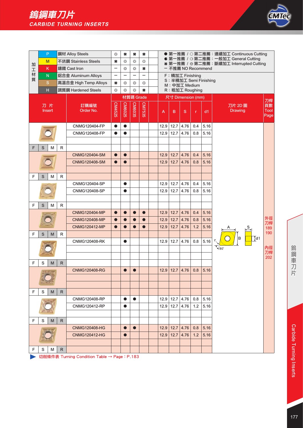

|        |   | P                       |   | 鋼材 Alloy Steels       | €₿                       | ×                            | ×             | #         |                                                                                                              |      |               |                                         |     |      | ● 第一推薦 / ○ 第二推薦:連續加工 Continuous Cutting |                          |
|--------|---|-------------------------|---|-----------------------|--------------------------|------------------------------|---------------|-----------|--------------------------------------------------------------------------------------------------------------|------|---------------|-----------------------------------------|-----|------|-----------------------------------------|--------------------------|
|        |   | M                       |   | 不銹鋼 Stainless Steels  | #                        | $\xi^{\text{th}}_{\text{D}}$ | ₩             | €₿        | ● 第一推薦 / G 第二推薦: 一般加工 General Cutting<br>* 第一推薦 / ※ 第二推薦:斷續加工 Interrupted Cutting<br>- 不推薦 NO Recommend<br># |      |               |                                         |     |      |                                         |                          |
| 加<br>工 |   | κ                       |   | 鑄鐵 Cast Iron          | $\qquad \qquad -$        | €₿                           | ₩             |           |                                                                                                              |      |               |                                         |     |      |                                         |                          |
| 材      |   | $\overline{\mathsf{N}}$ |   | 鋁合金 Aluminum Alloys   | $\overline{\phantom{0}}$ | -                            | —             |           |                                                                                                              |      |               | F: 精加工 Finishing                        |     |      |                                         |                          |
| 質      |   | $\mathbf S$             |   | 高溫合金 High Temp Alloys | ₩                        | €                            | €₿            | ₩         |                                                                                                              |      |               | S: 半精加工 Semi Finishing<br>M: 中加工 Medium |     |      |                                         |                          |
|        |   | H                       |   | 調質鋼 Hardened Steels   | €₿                       | €₿                           | €₿            | #         |                                                                                                              |      |               | R: 粗加工 Roughing                         |     |      |                                         |                          |
|        |   |                         |   |                       |                          |                              | 材質碼 Grade     |           |                                                                                                              |      |               | 尺寸 Dimension (mm)                       |     |      |                                         |                          |
|        |   | 刀片<br>Insert            |   | 訂購編號<br>Order No.     | CM4525                   | <b>CM6025</b>                | <b>CM6035</b> | CM7535    |                                                                                                              | A    | B             | S                                       | r   | dd1  | 刀片 2D 圖<br><b>Drawing</b>               | 刀桿<br>頁數<br>Tool<br>Page |
|        |   |                         |   | CNMG120404-FP         | $\bullet$                | $\bullet$                    |               |           |                                                                                                              | 12.9 | 12.7          | 4.76                                    | 0.4 | 5.16 |                                         |                          |
|        |   |                         |   | CNMG120408-FP         | $\bullet$                | $\bullet$                    |               |           |                                                                                                              | 12.9 | 12.7          | 4.76                                    | 0.8 | 5.16 |                                         |                          |
| F      | S | M                       | R |                       |                          |                              |               |           |                                                                                                              |      |               |                                         |     |      |                                         |                          |
|        |   |                         |   | <b>CNMG120404-SM</b>  | $\bullet$                | $\bullet$                    |               |           |                                                                                                              | 12.9 | 12.7          | 4.76                                    | 0.4 | 5.16 |                                         |                          |
|        |   |                         |   | <b>CNMG120408-SM</b>  | $\bullet$                | $\bullet$                    |               |           |                                                                                                              | 12.9 | 12.7          | 4.76                                    | 0.8 | 5.16 |                                         |                          |
|        |   |                         |   |                       |                          |                              |               |           |                                                                                                              |      |               |                                         |     |      |                                         |                          |
| F      | S | M                       | R |                       |                          |                              |               |           |                                                                                                              |      |               |                                         |     |      |                                         |                          |
|        |   |                         |   | CNMG120404-SP         |                          | $\bullet$                    |               |           |                                                                                                              | 12.9 | 12.7          | 4.76                                    | 0.4 | 5.16 |                                         |                          |
|        |   |                         |   | CNMG120408-SP         |                          | $\bullet$                    |               |           |                                                                                                              | 12.9 | 12.7          | 4.76                                    | 0.8 | 5.16 |                                         |                          |
|        |   |                         |   |                       |                          |                              |               |           |                                                                                                              |      |               |                                         |     |      |                                         |                          |
| F      | S | M                       | R |                       |                          |                              |               |           |                                                                                                              |      |               |                                         |     |      |                                         |                          |
|        |   |                         |   | <b>CNMG120404-MP</b>  | $\bullet$                | $\bullet$                    | $\bullet$     | $\bullet$ |                                                                                                              | 12.9 | 12.7          | 4.76                                    | 0.4 | 5.16 |                                         | 外徑                       |
|        |   |                         |   | <b>CNMG120408-MP</b>  | $\bullet$                | $\bullet$                    | $\bullet$     | $\bullet$ |                                                                                                              | 12.9 | 12.7          | 4.76                                    | 0.8 | 5.16 |                                         | 刀桿                       |
|        |   |                         |   | <b>CNMG120412-MP</b>  |                          |                              |               |           |                                                                                                              | 12.9 | 12.7          | 4.76                                    | 1.2 | 5.16 | S.                                      | 189<br>190               |
| F      | S | M                       | R |                       |                          |                              |               |           |                                                                                                              |      |               |                                         |     |      | $\overline{1}$ d1<br>в                  |                          |
|        |   |                         |   | <b>CNMG120408-RK</b>  |                          | $\bullet$                    |               |           |                                                                                                              |      | $12.9$ 12.7   | 4.76                                    | 0.8 | 5.16 |                                         |                          |
|        |   |                         |   |                       |                          |                              |               |           |                                                                                                              |      |               |                                         |     |      | $\sqrt{80}$                             | 內徑<br>刀桿                 |
| F      | S | M                       | R |                       |                          |                              |               |           |                                                                                                              |      |               |                                         |     |      |                                         | 202                      |
|        |   |                         |   | <b>CNMG120408-RG</b>  |                          | $\bullet$                    | $\bullet$     |           |                                                                                                              | 12.9 | 12.7          | 4.76                                    | 0.8 | 5.16 |                                         |                          |
|        |   |                         |   |                       |                          |                              |               |           |                                                                                                              |      |               |                                         |     |      |                                         |                          |
|        |   |                         |   |                       |                          |                              |               |           |                                                                                                              |      |               |                                         |     |      |                                         |                          |
| F      | S | M                       | R |                       |                          |                              |               |           |                                                                                                              |      |               |                                         |     |      |                                         |                          |
|        |   |                         |   | <b>CNMG120408-RP</b>  |                          | $\bullet$                    | $\bullet$     |           |                                                                                                              |      | $12.9$   12.7 | 4.76                                    | 0.8 | 5.16 |                                         |                          |
|        |   |                         |   | <b>CNMG120412-RP</b>  |                          | 0                            |               |           |                                                                                                              |      | 12.9 12.7     | 4.76                                    | 1.2 | 5.16 |                                         |                          |
|        |   |                         |   |                       |                          |                              |               |           |                                                                                                              |      |               |                                         |     |      |                                         |                          |
| F      | S | M                       | R |                       |                          |                              |               |           |                                                                                                              |      |               |                                         |     |      |                                         |                          |
|        |   |                         |   | <b>CNMG120408-HG</b>  |                          | $\bullet$                    | $\bullet$     |           |                                                                                                              | 12.9 | 12.7          | 4.76                                    | 0.8 | 5.16 |                                         |                          |
|        |   |                         |   | <b>CNMG120412-HG</b>  |                          | $\bullet$                    |               |           |                                                                                                              | 12.9 | 12.7          | 4.76                                    | 1.2 | 5.16 |                                         |                          |
|        |   |                         |   |                       |                          |                              |               |           |                                                                                                              |      |               |                                         |     |      |                                         |                          |
| F      | S | м                       | R |                       |                          |                              |               |           |                                                                                                              |      |               |                                         |     |      |                                         |                          |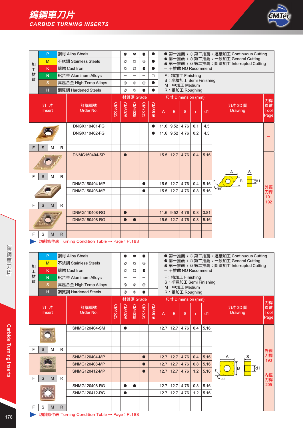

|        |                     | P |              | 鋼材 Alloy Steels       |        | 关                        | #         | 关                        | $\bullet$  |                |             |                                         |              |      | ● 第一推薦 / ○ 第二推薦:連續加工 Continuous Cutting                                         |                    |
|--------|---------------------|---|--------------|-----------------------|--------|--------------------------|-----------|--------------------------|------------|----------------|-------------|-----------------------------------------|--------------|------|---------------------------------------------------------------------------------|--------------------|
| 加      | M                   |   |              | 不銹鋼 Stainless Steels  |        | €₿                       | €₿        | €₿                       | $\bullet$  |                |             |                                         |              |      | ● 第一推薦 / G第二推薦: 一般加工 General Cutting<br>* 第一推薦 / ※第二推薦:斷續加工 Interrupted Cutting |                    |
| 工      |                     | K |              | 鑄鐵 Cast Iron          |        | €₿                       | €₿        | #                        |            |                |             | - 不推薦 NO Recommend                      |              |      |                                                                                 |                    |
| 材<br>質 | N                   |   |              | 鋁合金 Aluminum Alloys   |        | $\overline{\phantom{0}}$ | L,        | $\overline{\phantom{0}}$ | $\bigcirc$ |                |             | F: 精加工 Finishing                        |              |      |                                                                                 |                    |
|        |                     | S |              | 高溫合金 High Temp Alloys |        | 쏣                        | 옯         | €₿                       |            |                |             | S: 半精加工 Semi Finishing<br>M: 中加工 Medium |              |      |                                                                                 |                    |
|        | H                   |   |              | 調質鋼 Hardened Steels   |        | දුදු                     | දිලි      | 关                        |            |                |             | R: 粗加工 Roughing                         |              |      |                                                                                 |                    |
|        |                     |   |              |                       |        |                          | 材質碼 Grade |                          |            |                |             | 尺寸 Dimension (mm)                       |              |      |                                                                                 | 刀桿                 |
|        | 刀片<br><b>Insert</b> |   |              | 訂購編號<br>Order No.     | CM4525 | CM6025                   | CM6035    | CM7535                   | CM5515     | $\overline{A}$ | B           | S                                       | $\mathbf{r}$ | dd1  | 刀片 2D 圖<br><b>Drawing</b>                                                       | 頁數<br>Tool<br>Page |
|        |                     |   |              | DNGX110401-FG         |        |                          |           |                          | $\bullet$  | 11.6           | 9.52        | 4.76                                    | 0.1          | 4.5  |                                                                                 |                    |
|        |                     |   |              | DNGX110402-FG         |        |                          |           |                          |            |                | $11.6$ 9.52 | 4.76                                    | 0.2          | 4.5  |                                                                                 |                    |
|        |                     |   |              |                       |        |                          |           |                          |            |                |             |                                         |              |      |                                                                                 |                    |
| F      | S                   | M | R            |                       |        |                          |           |                          |            |                |             |                                         |              |      |                                                                                 |                    |
|        |                     |   |              | <b>DNMG150404-SP</b>  |        | $\bullet$                |           |                          |            | 15.5           | 12.7        | 4.76                                    | 0.4          | 5.16 |                                                                                 |                    |
|        |                     |   |              |                       |        |                          |           |                          |            |                |             |                                         |              |      |                                                                                 |                    |
|        |                     |   |              |                       |        |                          |           |                          |            |                |             |                                         |              |      |                                                                                 |                    |
| F      | S                   | M | R            |                       |        |                          |           |                          |            |                |             |                                         |              |      | $\overline{\downarrow}$ d1                                                      |                    |
|        |                     |   |              | <b>DNMG150404-MP</b>  |        |                          |           |                          |            | 15.5           | 12.7        | 4.76                                    | 0.4          | 5.16 |                                                                                 | 外徑                 |
|        |                     |   |              | <b>DNMG150408-MP</b>  |        |                          |           |                          |            | 15.5           | 12.7        | 4.76                                    | 0.8          | 5.16 |                                                                                 | 刀桿                 |
|        |                     |   |              |                       |        |                          |           |                          |            |                |             |                                         |              |      |                                                                                 | 191<br>192         |
| F      | S                   | M | R            |                       |        |                          |           |                          |            |                |             |                                         |              |      |                                                                                 |                    |
|        |                     |   |              | <b>DNMG110408-RG</b>  |        | $\bullet$                |           |                          |            | 11.6           | 9.52        | 4.76                                    | 0.8          | 3.81 |                                                                                 |                    |
|        |                     |   |              | <b>DNMG150408-RG</b>  |        |                          |           |                          |            | 15.5           | 12.7        | 4.76                                    | 0.8          | 5.16 |                                                                                 |                    |
|        |                     |   |              |                       |        |                          |           |                          |            |                |             |                                         |              |      |                                                                                 |                    |
| F      | S                   | M | $\mathsf{R}$ |                       |        |                          |           |                          |            |                |             |                                         |              |      |                                                                                 |                    |

|        | P            |   |   | 鋼材 Alloy Steels       |        | #         | #         | 关         |        |      |      |                   |              |                        | ● 第一推薦 / ○ 第二推薦:連續加工 Continuous Cutting                                          |                    |
|--------|--------------|---|---|-----------------------|--------|-----------|-----------|-----------|--------|------|------|-------------------|--------------|------------------------|----------------------------------------------------------------------------------|--------------------|
| 加      | M            |   |   | 不銹鋼 Stainless Steels  |        | 쏣         | 卷         | €₿        |        |      |      |                   |              |                        | ● 第一推薦 / G 第二推薦: 一般加工 General Cutting<br>* 第一推薦 / ※第二推薦:斷續加工 Interrupted Cutting |                    |
| 工      | K            |   |   | 鑄鐵 Cast Iron          |        | 왒         | 怨         | #         |        |      |      |                   |              | - 不推薦 NO Recommend     |                                                                                  |                    |
| 材<br>質 | N.           |   |   | 鋁合金 Aluminum Alloys   |        | -         | -         | -         |        |      |      | F: 精加工 Finishing  |              |                        |                                                                                  |                    |
|        | S            |   |   | 高溫合金 High Temp Alloys |        | €,        | €,        | දැද       |        |      |      | M: 中加工 Medium     |              | S: 半精加工 Semi Finishing |                                                                                  |                    |
|        | Н            |   |   | 調質鋼 Hardened Steels   |        | €₿        | €₿        | $\ast$    |        |      |      | R: 粗加工 Roughing   |              |                        |                                                                                  |                    |
|        |              |   |   |                       |        |           | 材質碼 Grade |           |        |      |      | 尺寸 Dimension (mm) |              |                        |                                                                                  | 刀桿                 |
|        | 刀片<br>Insert |   |   | 訂購編號<br>Order No.     | CM4525 | CM6025    | CM6035    | CM7535    | CM5515 | A    | B    | S                 | $\mathbf{r}$ | dd1                    | 刀片 2D 圖<br><b>Drawing</b>                                                        | 頁數<br>Tool<br>Page |
|        |              |   |   | SNMG120404-SM         |        | $\bullet$ |           |           |        | 12.7 | 12.7 | 4.76              | 0.4          | 5.16                   |                                                                                  |                    |
|        |              |   |   |                       |        |           |           |           |        |      |      |                   |              |                        |                                                                                  |                    |
| E      | S            | M | R |                       |        |           |           |           |        |      |      |                   |              |                        |                                                                                  | 外徑                 |
|        |              |   |   | <b>SNMG120404-MP</b>  |        |           |           | $\bullet$ |        | 12.7 | 12.7 | 4.76              | 0.4          | 5.16                   |                                                                                  | 刀桿<br>193          |
|        |              |   |   | <b>SNMG120408-MP</b>  |        |           |           | $\bullet$ |        | 12.7 | 12.7 | 4.76              | 0.8          | 5.16                   |                                                                                  |                    |
|        |              |   |   | <b>SNMG120412-MP</b>  |        |           |           |           |        | 12.7 | 12.7 | 4.76              | 1.2          | 5.16                   | $\overline{1}$ d1<br>B                                                           | 內徑                 |
| F      | S            | M | R |                       |        |           |           |           |        |      |      |                   |              |                        | $\mathcal{L}$ 90°                                                                | 刀桿                 |
|        |              |   |   | SNMG120408-RG         |        | 0         |           |           |        | 12.7 | 12.7 | 4.76              | 0.8          | 5.16                   |                                                                                  | 205                |
|        |              |   |   | SNMG120412-RG         |        | $\bullet$ |           |           |        | 12.7 | 12.7 | 4.76              | 1.2          | 5.16                   |                                                                                  |                    |
|        |              |   |   |                       |        |           |           |           |        |      |      |                   |              |                        |                                                                                  |                    |
| F      | S            | M | R |                       |        |           |           |           |        |      |      |                   |              |                        |                                                                                  |                    |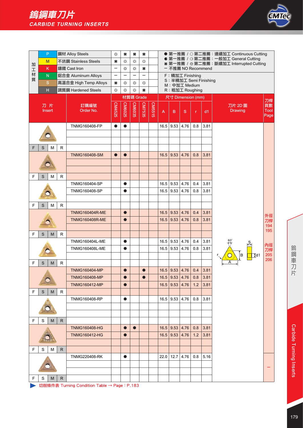

|                  | P                       |   |              | 鋼材 Alloy Steels       | $\xi^{\mu}_{\nu}$        | #             | #                        | #             |        |      |                  |                                         |              |      | ● 第一推薦 / ○ 第二推薦: 連續加工 Continuous Cutting                                         |                     |
|------------------|-------------------------|---|--------------|-----------------------|--------------------------|---------------|--------------------------|---------------|--------|------|------------------|-----------------------------------------|--------------|------|----------------------------------------------------------------------------------|---------------------|
|                  | M                       |   |              | 不銹鋼 Stainless Steels  | #                        | €₿            | €₿                       | ₩             |        |      |                  |                                         |              |      | ● 第一推薦 / G 第二推薦: 一般加工 General Cutting<br>* 第一推薦 / ※第二推薦:斷續加工 Interrupted Cutting |                     |
| 加<br>$\mathbf I$ | κ                       |   |              | 鑄鐵 Cast Iron          | $\overline{\phantom{0}}$ | €₿            | €₿                       | #             |        |      |                  | - 不推薦 NO Recommend                      |              |      |                                                                                  |                     |
| 材                | ${\sf N}$               |   |              | 鋁合金 Aluminum Alloys   | -                        | -             | $\overline{\phantom{0}}$ |               |        |      |                  | F: 精加工 Finishing                        |              |      |                                                                                  |                     |
| 質                | $\mathbf S$             |   |              | 高溫合金 High Temp Alloys | #                        | €₿            | €₿                       | €₿            |        |      |                  | S: 半精加工 Semi Finishing<br>M: 中加工 Medium |              |      |                                                                                  |                     |
|                  | $\overline{\mathsf{H}}$ |   |              | 調質鋼 Hardened Steels   | $\xi^0_D$                | €₿            | €₿                       | #             |        |      |                  | R: 粗加工 Roughing                         |              |      |                                                                                  |                     |
|                  |                         |   |              |                       |                          |               | 材質碼 Grade                |               |        |      |                  | 尺寸 Dimension (mm)                       |              |      |                                                                                  |                     |
|                  | 刀片                      |   |              | 訂購編號                  |                          |               |                          |               |        |      |                  |                                         |              |      | 刀片 2D 圖                                                                          | 刀桿<br>頁數            |
|                  | Insert                  |   |              | Order No.             | CM4525                   | <b>CM6025</b> | CM6035                   | <b>CM7535</b> | CM5515 | A    | B                | S                                       | $\mathsf{r}$ | d1   | <b>Drawing</b>                                                                   | <b>Tool</b><br>Page |
|                  |                         |   |              | <b>TNMG160408-FP</b>  | $\bullet$                | $\bullet$     |                          |               |        | 16.5 | 9.53             | 4.76                                    | 0.8          | 3.81 |                                                                                  |                     |
|                  |                         |   |              |                       |                          |               |                          |               |        |      |                  |                                         |              |      |                                                                                  |                     |
|                  |                         |   |              |                       |                          |               |                          |               |        |      |                  |                                         |              |      |                                                                                  |                     |
| F                | S                       | M | $\mathsf R$  |                       |                          |               |                          |               |        |      |                  |                                         |              |      |                                                                                  |                     |
|                  |                         |   |              | <b>TNMG160408-SM</b>  | $\bullet$                | $\bullet$     |                          |               |        | 16.5 | 9.53             | 4.76                                    | 0.8          | 3.81 |                                                                                  |                     |
|                  |                         |   |              |                       |                          |               |                          |               |        |      |                  |                                         |              |      |                                                                                  |                     |
|                  |                         |   |              |                       |                          |               |                          |               |        |      |                  |                                         |              |      |                                                                                  |                     |
| F                | S                       | M | R            |                       |                          |               |                          |               |        |      |                  |                                         |              |      |                                                                                  |                     |
|                  |                         |   |              | <b>TNMG160404-SP</b>  |                          | $\bullet$     |                          |               |        | 16.5 | 9.53             | 4.76                                    | 0.4          | 3.81 |                                                                                  |                     |
|                  |                         |   |              | TNMG160408-SP         |                          | $\bullet$     |                          |               |        | 16.5 | $9.53 \mid 4.76$ |                                         | 0.8          | 3.81 |                                                                                  |                     |
|                  |                         |   |              |                       |                          |               |                          |               |        |      |                  |                                         |              |      |                                                                                  |                     |
| F                | S                       | M | R            |                       |                          |               |                          |               |        |      |                  |                                         |              |      |                                                                                  |                     |
|                  |                         |   |              | <b>TNMG160404R-ME</b> |                          | $\bullet$     |                          |               |        | 16.5 | 9.53             | 4.76                                    | 0.4          | 3.81 |                                                                                  | 外徑                  |
|                  |                         |   |              | <b>TNMG160408R-ME</b> |                          | $\bullet$     |                          |               |        | 16.5 | 9.53             | 4.76                                    | 0.8          | 3.81 |                                                                                  | 刀桿                  |
|                  |                         |   |              |                       |                          |               |                          |               |        |      |                  |                                         |              |      |                                                                                  | 194<br>195          |
| F                | S                       | M | R            |                       |                          |               |                          |               |        |      |                  |                                         |              |      |                                                                                  |                     |
|                  |                         |   |              | <b>TNMG160404L-ME</b> |                          | $\bullet$     |                          |               |        | 16.5 | 9.53   4.76      |                                         | 0.4          | 3.81 | $60^\circ$<br>$\frac{S}{\sqrt{2}}$                                               | 內徑                  |
|                  |                         |   |              | <b>TNMG160408L-ME</b> |                          | $\bullet$     |                          |               |        | 16.5 | 9.53             | 4.76                                    | 0.8          | 3.81 |                                                                                  | 刀桿                  |
|                  |                         |   |              |                       |                          |               |                          |               |        |      |                  |                                         |              |      | B<br>$\overline{\downarrow}$ d1                                                  | 205<br>206          |
| F                | S                       | M | R            |                       |                          |               |                          |               |        |      |                  |                                         |              |      |                                                                                  |                     |
|                  |                         |   |              | <b>TNMG160404-MP</b>  |                          | $\bullet$     |                          |               |        |      | $16.5$ 9.53 4.76 |                                         | 0.4          | 3.81 |                                                                                  |                     |
|                  |                         |   |              | TNMG160408-MP         |                          | $\bullet$     |                          | $\bullet$     |        | 16.5 |                  | 9.53 4.76                               | 0.8          | 3.81 |                                                                                  |                     |
|                  |                         |   |              | <b>TNMG160412-MP</b>  |                          | $\bullet$     |                          |               |        | 16.5 | 9.53             | 4.76                                    | 1.2          | 3.81 |                                                                                  |                     |
| F                | $\mathsf S$             | M | R            |                       |                          |               |                          |               |        |      |                  |                                         |              |      |                                                                                  |                     |
|                  |                         |   |              | <b>TNMG160408-RP</b>  |                          | $\bullet$     |                          |               |        |      | $16.5$ 9.53 4.76 |                                         | 0.8          | 3.81 |                                                                                  |                     |
|                  |                         |   |              |                       |                          |               |                          |               |        |      |                  |                                         |              |      |                                                                                  |                     |
|                  |                         |   |              |                       |                          |               |                          |               |        |      |                  |                                         |              |      |                                                                                  |                     |
| F                | S                       | M | R.           |                       |                          |               |                          |               |        |      |                  |                                         |              |      |                                                                                  |                     |
|                  |                         |   |              | <b>TNMG160408-HG</b>  |                          | $\bullet$     | $\bullet$                |               |        |      | $16.5$ 9.53 4.76 |                                         | 0.8          | 3.81 |                                                                                  |                     |
|                  |                         |   |              | <b>TNMG160412-HG</b>  |                          | O             |                          |               |        |      | $16.5$   9.53    | 4.76                                    | 1.2          | 3.81 |                                                                                  |                     |
|                  |                         |   |              |                       |                          |               |                          |               |        |      |                  |                                         |              |      |                                                                                  |                     |
| F                | S                       | м | R.           |                       |                          |               |                          |               |        |      |                  |                                         |              |      |                                                                                  |                     |
|                  |                         |   |              | <b>TNMG220408-RK</b>  |                          | $\bullet$     |                          |               |        | 22.0 | $12.7 \mid 4.76$ |                                         | 0.8          | 5.16 |                                                                                  |                     |
|                  |                         |   |              |                       |                          |               |                          |               |        |      |                  |                                         |              |      |                                                                                  |                     |
|                  |                         |   |              |                       |                          |               |                          |               |        |      |                  |                                         |              |      |                                                                                  |                     |
| F                | S                       | M | $\mathsf{R}$ |                       |                          |               |                          |               |        |      |                  |                                         |              |      |                                                                                  |                     |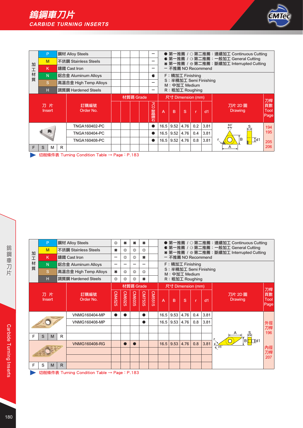



|   | P              |   | 鋼材 Alloy Steels       |  |           | -           |                |               |                   |     |                        | ● 第一推薦 / ○ 第二推薦:連續加工 Continuous Cutting                                         |                          |
|---|----------------|---|-----------------------|--|-----------|-------------|----------------|---------------|-------------------|-----|------------------------|---------------------------------------------------------------------------------|--------------------------|
| 加 | M              |   | 不銹鋼 Stainless Steels  |  |           | -           |                |               |                   |     |                        | ● 第一推薦 / G 第二推薦:一般加工 General Cutting<br>* 第一推薦 / ※第二推薦:斷續加工 Interrupted Cutting |                          |
| 工 | K              |   | 鑄鐵 Cast Iron          |  |           | -           |                |               |                   |     | - 不推薦 NO Recommend     |                                                                                 |                          |
| 材 | N <sub>1</sub> |   | 鋁合金 Aluminum Alloys   |  |           | c           |                |               | F: 精加工 Finishing  |     |                        |                                                                                 |                          |
| 質 | S              |   | 高溫合金 High Temp Alloys |  |           | -           |                |               | M: 中加工 Medium     |     | S: 半精加工 Semi Finishing |                                                                                 |                          |
|   | н              |   | 調質鋼 Hardened Steels   |  |           | -           |                |               | R: 粗加工 Roughing   |     |                        |                                                                                 |                          |
|   |                |   |                       |  | 材質碼 Grade |             |                |               | 尺寸 Dimension (mm) |     |                        |                                                                                 |                          |
|   | 刀片<br>Insert   |   | 訂購編號<br>Order No.     |  |           | g<br>) 聚晶鑽石 | $\overline{A}$ | B             | S                 |     | dd1                    | 刀片 2D 圖<br><b>Drawing</b>                                                       | 刀桿<br>頁數<br>Tool<br>Page |
|   |                |   | <b>TNGA160402-PC</b>  |  |           | ●           | 16.5           | 9.52          | 4.76              | 0.2 | 3.81                   | $60^\circ$                                                                      | 194                      |
|   | Щ              |   | <b>TNGA160404-PC</b>  |  |           | ●           | 16.5           | 9.52          | 4.76              | 0.4 | 3.81                   |                                                                                 | 195                      |
|   |                |   | <b>TNGA160408-PC</b>  |  |           | ●           |                | $16.5$   9.52 | 4.76              | 0.8 | 3.81                   | lв<br>$\overline{\downarrow}$ d1                                                | 205                      |
| F | S<br>м         | R |                       |  |           |             |                |               |                   |     |                        | A                                                                               | 206                      |

→ 切削條件表 Turning Condition Table → Page: P.183

|        | P            |    | 鋼材 Alloy Steels                             | €€        | #             | #         | ×         |                         |                                                               |      |                                         |     |      | ● 第一推薦 / ○ 第二推薦:連續加工 Continuous Cutting                                         |                    |
|--------|--------------|----|---------------------------------------------|-----------|---------------|-----------|-----------|-------------------------|---------------------------------------------------------------|------|-----------------------------------------|-----|------|---------------------------------------------------------------------------------|--------------------|
| 加      | M            |    | 不銹鋼 Stainless Steels                        | #         | 옮             | 옶         | දුව       |                         |                                                               |      |                                         |     |      | ● 第一推薦 / G 第二推薦:一般加工 General Cutting<br>* 第一推薦 / ※第二推薦:斷續加工 Interrupted Cutting |                    |
| 工      | K            |    | 鑄鐵 Cast Iron                                | -         | ₩             | 卷         | $\bullet$ |                         |                                                               |      | - 不推薦 NO Recommend                      |     |      |                                                                                 |                    |
| 材<br>質 | N.           |    | 鋁合金 Aluminum Alloys                         | -         |               |           |           |                         |                                                               |      | F: 精加工 Finishing                        |     |      |                                                                                 |                    |
|        | <sub>S</sub> |    | 高溫合金 High Temp Alloys                       | #         | €₿            | 63        | දැද       |                         |                                                               |      | S: 半精加工 Semi Finishing<br>M: 中加工 Medium |     |      |                                                                                 |                    |
|        | н            |    | 調質鋼 Hardened Steels                         | €₿        | €3            | €₿        | $\bullet$ |                         |                                                               |      | R: 粗加工 Roughing                         |     |      |                                                                                 |                    |
|        |              |    |                                             |           |               | 材質碼 Grade |           |                         |                                                               |      | 尺寸 Dimension (mm)                       |     |      |                                                                                 | 刀桿                 |
|        | 刀片<br>Insert |    | 訂購編號<br>Order No.                           | CM4525    | <b>CM6025</b> | CM6035    | CM7535    | CM551<br>$\overline{c}$ | $\overline{A}$                                                | B    | S                                       | r   | dd1  | 刀片 2D 圖<br><b>Drawing</b>                                                       | 頁數<br>Tool<br>Page |
|        |              |    | <b>VNMG160404-MP</b>                        | $\bullet$ |               |           | $\bullet$ |                         | 16.5                                                          | 9.53 | 4.76                                    | 0.4 | 3.81 |                                                                                 |                    |
|        |              |    | <b>VNMG160408-MP</b>                        |           |               |           | ●         |                         | 16.5                                                          | 9.53 | 4.76                                    | 0.8 | 3.81 |                                                                                 | 外徑                 |
|        |              |    |                                             |           |               |           |           |                         |                                                               |      |                                         |     |      |                                                                                 | 刀桿<br>196          |
| F      | S<br>M       | R  |                                             |           |               |           |           |                         |                                                               |      |                                         |     |      |                                                                                 |                    |
|        |              |    | <b>VNMG160408-RG</b>                        |           | $\bullet$     | $\bullet$ |           |                         | $\overline{4}$ d1<br>B<br>3.81<br>0.8<br>9.53<br>4.76<br>16.5 |      |                                         |     | 135′ | 內徑                                                                              |                    |
|        |              |    |                                             |           |               |           |           |                         |                                                               |      |                                         |     |      |                                                                                 | 刀桿                 |
|        |              |    |                                             |           |               |           |           |                         |                                                               |      |                                         |     |      |                                                                                 | 207                |
| F      | S<br>M       | R. |                                             |           |               |           |           |                         |                                                               |      |                                         |     |      |                                                                                 |                    |
|        |              |    | 切削修件表 Turning Condition Table → Page: P 183 |           |               |           |           |                         |                                                               |      |                                         |     |      |                                                                                 |                    |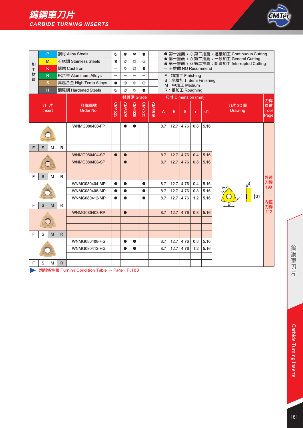

|                  |   | P                   |              | 鋼材 Alloy Steels       | €₿                       | ×                   | #         | 关                                                                                                                           |        |     |      |                   |              |                        | ● 第一推薦 / ○ 第二推薦: 連續加工 Continuous Cutting |                           |
|------------------|---|---------------------|--------------|-----------------------|--------------------------|---------------------|-----------|-----------------------------------------------------------------------------------------------------------------------------|--------|-----|------|-------------------|--------------|------------------------|------------------------------------------|---------------------------|
|                  |   | M                   |              | 不銹鋼 Stainless Steels  | $\ast$                   | $\xi_n^{\text{up}}$ | €,        | ● 第一推薦 / G 第二推薦: 一般加工 General Cutting<br>දැද<br>* 第一推薦 / ※ 第二推薦:斷續加工 Interrupted Cutting<br>$\bullet$<br>- 不推薦 NO Recommend |        |     |      |                   |              |                        |                                          |                           |
| 加<br>$\mathbf T$ |   | K                   |              | 鑄鐵 Cast Iron          |                          | €,                  | 63        |                                                                                                                             |        |     |      |                   |              |                        |                                          |                           |
| 材                |   | $\mathsf{N}$        |              | 鋁合金 Aluminum Alloys   | $\overline{\phantom{0}}$ |                     | -         | $\overline{\phantom{0}}$                                                                                                    |        |     |      | F: 精加工 Finishing  |              |                        |                                          |                           |
| 質                |   | $\mathbf S$         |              | 高溫合金 High Temp Alloys | #                        | €₿                  | €₿        | 怨                                                                                                                           |        |     |      | M: 中加工 Medium     |              | S: 半精加工 Semi Finishing |                                          |                           |
|                  |   | H                   |              | 調質鋼 Hardened Steels   | €₿                       | €₿                  | €₿        | ×.                                                                                                                          |        |     |      | R: 粗加工 Roughing   |              |                        |                                          |                           |
|                  |   |                     |              |                       |                          |                     | 材質碼 Grade |                                                                                                                             |        |     |      | 尺寸 Dimension (mm) |              |                        |                                          | 刀桿                        |
|                  |   | 刀片<br><b>Insert</b> |              | 訂購編號<br>Order No.     | CM4525                   | <b>CM6025</b>       | CM6035    | CM7535                                                                                                                      | CM5515 | A   | B    | S                 | $\mathbf{r}$ | dd1                    | 刀片 2D 圖<br><b>Drawing</b>                | 頁數<br><b>Tool</b><br>Page |
|                  |   |                     |              | WNMG080408-FP         |                          | $\bullet$           | $\bullet$ |                                                                                                                             |        | 8.7 | 12.7 | 4.76              | 0.8          | 5.16                   |                                          |                           |
|                  |   |                     |              |                       |                          |                     |           |                                                                                                                             |        |     |      |                   |              |                        |                                          |                           |
|                  |   |                     |              |                       |                          |                     |           |                                                                                                                             |        |     |      |                   |              |                        |                                          |                           |
| F                | S | M                   | R            |                       |                          |                     |           |                                                                                                                             |        |     |      |                   |              |                        |                                          |                           |
|                  |   |                     |              | <b>WNMG080404-SP</b>  | $\bullet$                | $\bullet$           |           |                                                                                                                             |        | 8.7 | 12.7 | 4.76              | 0.4          | 5.16                   |                                          |                           |
|                  |   |                     |              | <b>WNMG080408-SP</b>  |                          |                     |           |                                                                                                                             |        | 8.7 | 12.7 | 4.76              | 0.8          | 5.16                   |                                          |                           |
|                  |   |                     |              |                       |                          |                     |           |                                                                                                                             |        |     |      |                   |              |                        |                                          |                           |
| F                | S | M                   | $\mathsf R$  |                       |                          |                     |           |                                                                                                                             |        |     |      |                   |              |                        |                                          | 外徑<br>刀桿                  |
|                  |   |                     |              | WNMG080404-MP         | $\bullet$                | $\bullet$           |           | $\bullet$                                                                                                                   |        | 8.7 | 12.7 | 4.76              | 0.4          | 5.16                   |                                          | 199                       |
|                  |   |                     |              | WNMG080408-MP         |                          |                     |           | $\bullet$                                                                                                                   |        | 8.7 | 12.7 | 4.76              | 0.8          | 5.16                   | $\overline{\downarrow}$ d1               |                           |
|                  |   |                     |              | <b>WNMG080412-MP</b>  | $\bullet$                | $\bullet$           |           | $\bullet$                                                                                                                   |        | 8.7 | 12.7 | 4.76              | 1.2          | 5.16                   |                                          | 內徑                        |
| F                | S | M                   | R            |                       |                          |                     |           |                                                                                                                             |        |     |      |                   |              |                        |                                          | 刀桿                        |
|                  |   |                     |              | <b>WNMG080408-RP</b>  |                          | $\bullet$           |           |                                                                                                                             |        | 8.7 | 12.7 | 4.76              | 0.8          | 5.16                   |                                          | 212                       |
|                  |   |                     |              |                       |                          |                     |           |                                                                                                                             |        |     |      |                   |              |                        |                                          |                           |
|                  |   |                     |              |                       |                          |                     |           |                                                                                                                             |        |     |      |                   |              |                        |                                          |                           |
| F                | S | M                   | $\mathsf{R}$ |                       |                          |                     |           |                                                                                                                             |        |     |      |                   |              |                        |                                          |                           |
|                  |   |                     |              | WNMG080408-HG         |                          | $\bullet$           | $\bullet$ |                                                                                                                             |        | 8.7 | 12.7 | 4.76              | 0.8          | 5.16                   |                                          |                           |
|                  |   |                     |              | WNMG080412-HG         |                          |                     | $\bullet$ |                                                                                                                             |        | 8.7 | 12.7 | 4.76              | 1.2          | 5.16                   |                                          |                           |
| F                | S | M                   | $\mathsf{R}$ |                       |                          |                     |           |                                                                                                                             |        |     |      |                   |              |                        |                                          |                           |
|                  |   |                     |              |                       |                          |                     |           |                                                                                                                             |        |     |      |                   |              |                        |                                          |                           |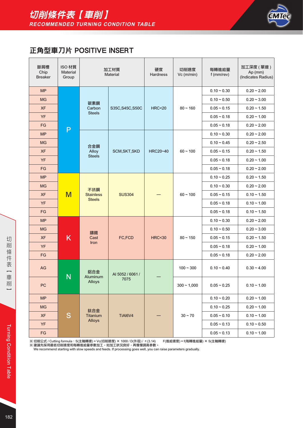

### 正角型車刀片 POSITIVE INSERT

| 斷屑槽<br>Chip<br><b>Breaker</b> | ISO 材質<br><b>Material</b><br>Group |                        | 加工材質<br><b>Material</b> | 硬度<br><b>Hardness</b> | 切削速度<br>Vc (m/min) | 每轉進給量<br>f (mm/rev) | 加工深度 (單邊)<br>Ap (mm)<br>(Indicates Radius) |
|-------------------------------|------------------------------------|------------------------|-------------------------|-----------------------|--------------------|---------------------|--------------------------------------------|
| <b>MP</b>                     |                                    |                        |                         |                       |                    | $0.10 - 0.30$       | $0.20 - 2.00$                              |
| <b>MG</b>                     |                                    | 碳素鋼                    |                         |                       |                    | $0.10 - 0.50$       | $0.20 - 3.00$                              |
| <b>XF</b>                     |                                    | Carbon                 | S35C, S45C, S50C        | <b>HRC&lt;20</b>      | $80 - 160$         | $0.05 - 0.15$       | $0.20 - 1.50$                              |
| <b>YF</b>                     |                                    | <b>Steels</b>          |                         |                       |                    | $0.05 - 0.18$       | $0.20 - 1.00$                              |
| FG                            | P                                  |                        |                         |                       |                    | $0.05 - 0.18$       | $0.20 - 2.00$                              |
| <b>MP</b>                     |                                    |                        |                         |                       |                    | $0.10 - 0.30$       | $0.20 - 2.00$                              |
| <b>MG</b>                     |                                    | 合金鋼                    |                         |                       |                    | $0.10 - 0.45$       | $0.20 - 2.50$                              |
| <b>XF</b>                     |                                    | Alloy                  | SCM, SKT, SKD           | HRC20~40              | $60 - 100$         | $0.05 - 0.15$       | $0.20 - 1.50$                              |
| YF                            |                                    | <b>Steels</b>          |                         |                       |                    | $0.05 - 0.18$       | $0.20 - 1.00$                              |
| FG                            |                                    |                        |                         |                       |                    | $0.05 - 0.18$       | $0.20 - 2.00$                              |
| <b>MP</b>                     |                                    |                        |                         |                       |                    | $0.10 - 0.25$       | $0.20 - 1.50$                              |
| <b>MG</b>                     |                                    | 不銹鋼                    |                         |                       |                    | $0.10 - 0.30$       | $0.20 - 2.00$                              |
| <b>XF</b>                     | M                                  | <b>Stainless</b>       | <b>SUS304</b>           |                       | $60 - 100$         | $0.05 - 0.15$       | $0.10 - 1.50$                              |
| <b>YF</b>                     |                                    | <b>Steels</b>          |                         |                       |                    | $0.05 - 0.18$       | $0.10 - 1.00$                              |
| FG                            |                                    |                        |                         |                       |                    | $0.05 - 0.18$       | $0.10 - 1.50$                              |
| <b>MP</b>                     |                                    |                        |                         |                       |                    | $0.10 - 0.30$       | $0.20 - 2.00$                              |
| <b>MG</b>                     |                                    | 鑄鐵                     |                         |                       |                    | $0.10 - 0.50$       | $0.20 - 3.00$                              |
| <b>XF</b>                     | K                                  | Cast                   | FC,FCD                  | <b>HRC&lt;30</b>      | $80 - 150$         | $0.05 - 0.15$       | $0.20 - 1.50$                              |
| YF                            |                                    | Iron                   |                         |                       |                    | $0.05 - 0.18$       | $0.20 - 1.00$                              |
| FG                            |                                    |                        |                         |                       |                    | $0.05 - 0.18$       | $0.20 - 2.00$                              |
| AG                            | N                                  | 鋁合金<br><b>Aluminum</b> | AI 5052 / 6061 /        |                       | $100 - 300$        | $0.10 - 0.40$       | $0.30 - 4.00$                              |
| <b>PC</b>                     |                                    | <b>Alloys</b>          | 7075                    |                       | $300 - 1,000$      | $0.05 - 0.25$       | $0.10 - 1.00$                              |
| MP                            |                                    |                        |                         |                       |                    | $0.10 - 0.20$       | $0.20 - 1.00$                              |
| <b>MG</b>                     |                                    | 鈦合金                    |                         |                       |                    | $0.10 - 0.25$       | $0.20 - 1.00$                              |
| <b>XF</b>                     | S                                  | Titanium               | TiAI6V4                 |                       | $30 - 70$          | $0.05 - 0.10$       | $0.10 - 1.00$                              |
| YF                            |                                    | <b>Alloys</b>          |                         |                       |                    | $0.05 - 0.13$       | $0.10 - 0.50$                              |
| $\mathsf{F}\mathsf{G}$        |                                    |                        |                         |                       |                    | $0.05 - 0.13$       | $0.10 - 1.00$                              |

※ 切削公式 / Cutting formula:S(主軸轉速) = Vc(切削速度) × 1000 / D(外徑) / π (3.14) F(進給速度) = f(每轉進給量) × S(主軸轉速)<br>※ 建議先採用最低切削速度和每轉進給量參數加工,如加工狀況良好,再慢慢調高參數。<br> We recommend starting with slow speeds and feeds. If processing goes well, you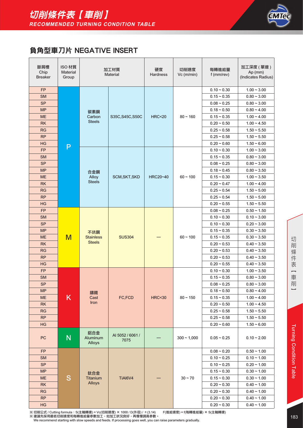

### 負角型車刀片 NEGATIVE INSERT

| 斷屑槽<br>Chip<br><b>Breaker</b> | ISO 材質<br><b>Material</b><br>Group |                                  | 加工材質<br><b>Material</b>  | 硬度<br>Hardness   | 切削速度<br>Vc (m/min) | 每轉進給量<br>f (mm/rev) | 加工深度 (單邊)<br>$Ap$ (mm)<br>(Indicates Radius) |
|-------------------------------|------------------------------------|----------------------------------|--------------------------|------------------|--------------------|---------------------|----------------------------------------------|
| <b>FP</b>                     |                                    |                                  |                          |                  |                    | $0.10 - 0.30$       | $1.00 - 3.00$                                |
| <b>SM</b>                     |                                    |                                  |                          |                  |                    | $0.15 - 0.35$       | $0.80 - 3.00$                                |
| <b>SP</b>                     |                                    |                                  |                          |                  |                    | $0.08 - 0.25$       | $0.80 - 3.00$                                |
| <b>MP</b>                     |                                    | 碳素鋼                              |                          |                  |                    | $0.18 - 0.50$       | $0.80 - 4.00$                                |
| <b>ME</b>                     |                                    | Carbon                           | S35C, S45C, S50C         | <b>HRC&lt;20</b> | $80 - 160$         | $0.15 - 0.35$       | $1.00 - 4.00$                                |
| <b>RK</b>                     |                                    | <b>Steels</b>                    |                          |                  |                    | $0.20 - 0.50$       | $1.00 - 4.50$                                |
| <b>RG</b>                     |                                    |                                  |                          |                  |                    | $0.25 - 0.58$       | $1.50 - 5.50$                                |
| <b>RP</b>                     |                                    |                                  |                          |                  |                    | $0.25 - 0.58$       | $1.50 - 5.50$                                |
| HG                            | P                                  |                                  |                          |                  |                    | $0.20 - 0.60$       | $1.50 - 6.00$                                |
| FP                            |                                    |                                  |                          |                  |                    | $0.10 - 0.30$       | $1.00 - 3.00$                                |
| <b>SM</b>                     |                                    |                                  |                          |                  |                    | $0.15 - 0.35$       | $0.80 - 3.00$                                |
| <b>SP</b>                     |                                    |                                  |                          |                  |                    | $0.08 - 0.25$       | $0.80 - 3.00$                                |
| <b>MP</b>                     |                                    | 合金鋼                              |                          |                  |                    | $0.18 - 0.45$       | $0.80 - 3.50$                                |
| <b>ME</b>                     |                                    | Alloy                            | SCM, SKT, SKD            | <b>HRC20~40</b>  | $60 - 100$         | $0.15 - 0.30$       | $1.00 - 3.50$                                |
| <b>RK</b>                     |                                    | <b>Steels</b>                    |                          |                  |                    | $0.20 - 0.47$       | $1.00 - 4.00$                                |
| <b>RG</b>                     |                                    |                                  |                          |                  |                    | $0.25 - 0.54$       | $1.50 - 5.00$                                |
| <b>RP</b>                     |                                    |                                  |                          |                  |                    | $0.25 - 0.54$       | $1.50 - 5.00$                                |
| HG                            |                                    |                                  |                          |                  |                    | $0.20 - 0.55$       | $1.50 - 5.50$                                |
| FP                            |                                    |                                  |                          |                  |                    | $0.08 - 0.25$       | $0.50 - 1.50$                                |
| <b>SM</b>                     |                                    |                                  |                          |                  |                    | $0.10 - 0.30$       | $0.10 - 3.00$                                |
| <b>SP</b>                     |                                    |                                  |                          |                  |                    | $0.10 - 0.30$       | $0.20 - 3.00$                                |
| <b>MP</b>                     |                                    | 不銹鋼                              |                          |                  |                    | $0.15 - 0.35$       | $0.30 - 3.50$                                |
| <b>ME</b>                     | M                                  | <b>Stainless</b>                 | <b>SUS304</b>            |                  | $60 - 100$         | $0.15 - 0.35$       | $0.30 - 3.50$                                |
| <b>RK</b>                     |                                    | <b>Steels</b>                    |                          |                  |                    | $0.20 - 0.53$       | $0.40 - 3.50$                                |
| <b>RG</b>                     |                                    |                                  |                          |                  |                    | $0.20 - 0.53$       | $0.40 - 3.50$                                |
| <b>RP</b>                     |                                    |                                  |                          |                  |                    | $0.20 - 0.53$       | $0.40 - 3.50$                                |
| HG                            |                                    |                                  |                          |                  |                    | $0.20 - 0.55$       | $0.40 - 3.50$                                |
| <b>FP</b>                     |                                    |                                  |                          |                  |                    | $0.10 - 0.30$       | $1.00 - 3.50$                                |
| <b>SM</b>                     |                                    |                                  |                          |                  |                    | $0.15 - 0.35$       | $0.80 - 3.00$                                |
| <b>SP</b>                     |                                    |                                  |                          |                  |                    | $0.08 - 0.25$       | $0.80 - 3.00$                                |
| <b>MP</b>                     |                                    | 鑄鐵                               |                          |                  |                    | $0.18 - 0.50$       | $0.80 - 4.00$                                |
| <b>ME</b>                     | K                                  | Cast<br>Iron                     | FC,FCD                   | <b>HRC&lt;30</b> | $80 - 150$         | $0.15 - 0.35$       | $1.00 - 4.00$                                |
| <b>RK</b>                     |                                    |                                  |                          |                  |                    | $0.20 - 0.50$       | $1.00 - 4.50$                                |
| <b>RG</b>                     |                                    |                                  |                          |                  |                    | $0.25 - 0.58$       | $1.50 \sim 5.50$                             |
| <b>RP</b>                     |                                    |                                  |                          |                  |                    | $0.25 - 0.58$       | $1.50 - 5.50$                                |
| HG                            |                                    |                                  |                          |                  |                    | $0.20 - 0.60$       | $1.50 - 6.00$                                |
| PC                            | N                                  | 鋁合金<br>Aluminum<br><b>Alloys</b> | AI 5052 / 6061 /<br>7075 |                  | $300 - 1,000$      | $0.05 - 0.25$       | $0.10 - 2.00$                                |
| <b>FP</b>                     |                                    |                                  |                          |                  |                    | $0.08 - 0.20$       | $0.50 - 1.00$                                |
| <b>SM</b>                     |                                    |                                  |                          |                  |                    | $0.10 - 0.25$       | $0.10 - 1.00$                                |
| <b>SP</b>                     |                                    |                                  |                          |                  |                    | $0.10 - 0.25$       | $0.20 - 1.00$                                |
| <b>MP</b>                     |                                    | 鈦合金                              |                          |                  |                    | $0.15 - 0.30$       | $0.30 - 1.00$                                |
| <b>ME</b>                     | S                                  | Titanium                         | TiAI6V4                  |                  | $30 - 70$          | $0.15 - 0.30$       | $0.30 - 1.00$                                |
| <b>RK</b>                     |                                    | <b>Alloys</b>                    |                          |                  |                    | $0.20 - 0.30$       | $0.40 - 1.00$                                |
| RG                            |                                    |                                  |                          |                  |                    | $0.20 - 0.30$       | $0.40 \sim 1.00$                             |
| <b>RP</b>                     |                                    |                                  |                          |                  |                    | $0.20 - 0.30$       | $0.40 - 1.00$                                |
| HG                            |                                    |                                  |                          |                  |                    | $0.20 - 0.30$       | $0.40 \sim 1.00$                             |

 $\overline{\phantom{0}}$ 

※ 切削公式 / Cutting formula:S(主軸轉速) = Vc(切削速度) × 1000 / D(外徑) / π(3.14) F(進給速度) = f(每轉進給量) × S(主軸轉速)

※ 建議先採用最低切削速度和每轉進給量參數加工,如加工狀況良好,再慢慢調高參數。<br>We recommend starting with slow speeds and feeds. If processing goes well, you can raise parameters gradually.